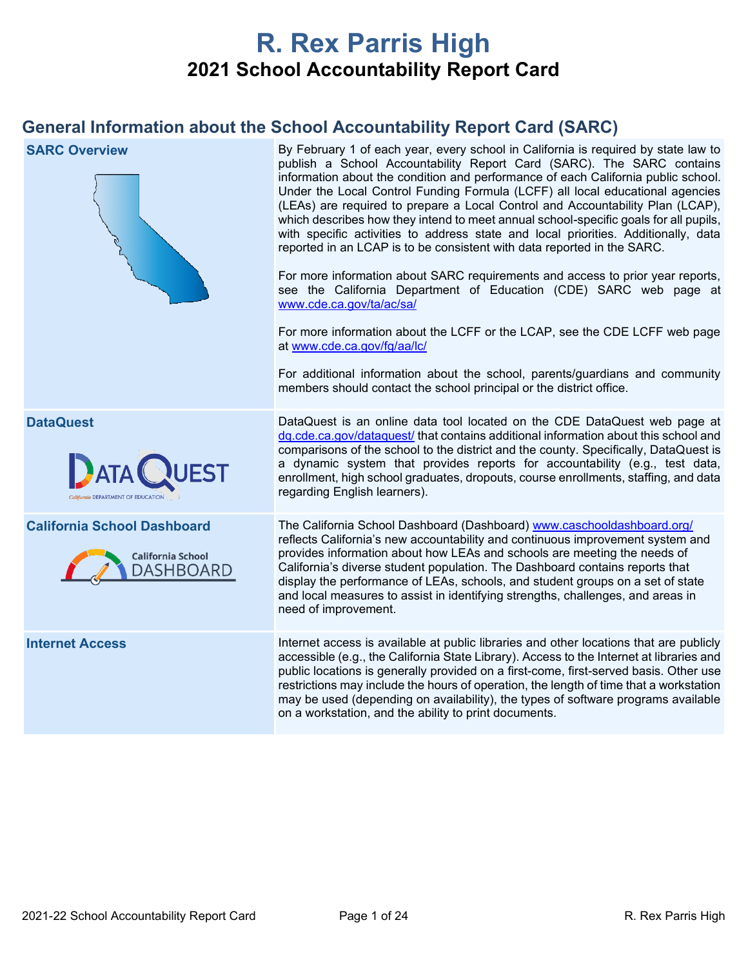# **R. Rex Parris High 2021 School Accountability Report Card**

## **General Information about the School Accountability Report Card (SARC)**

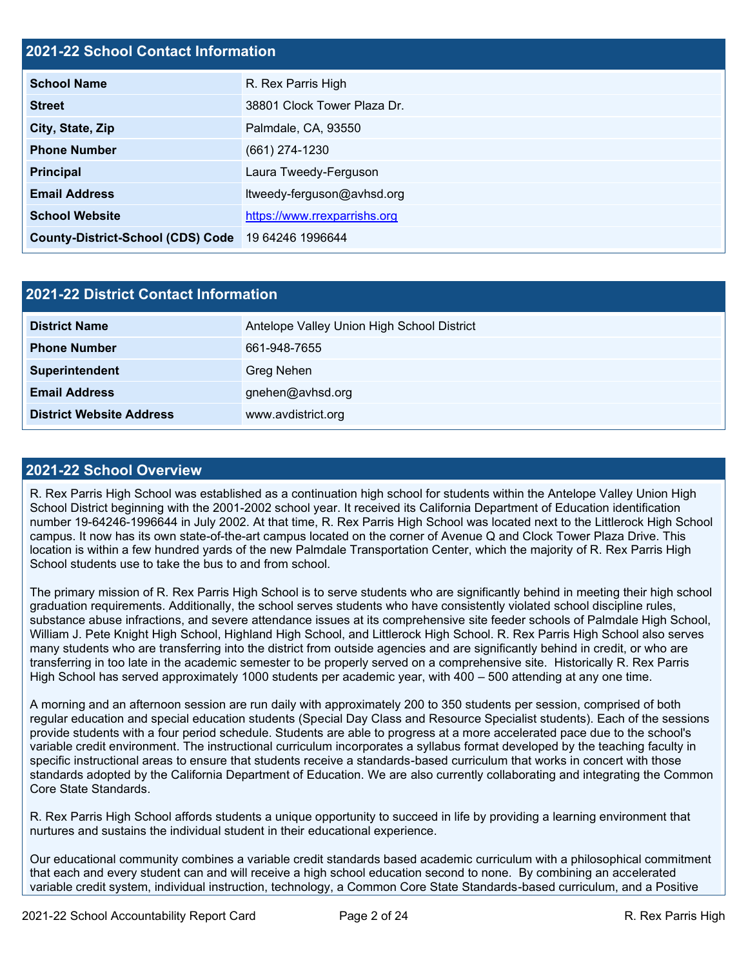## **2021-22 School Contact Information**

| <b>School Name</b>                       | R. Rex Parris High           |  |  |  |
|------------------------------------------|------------------------------|--|--|--|
| <b>Street</b>                            | 38801 Clock Tower Plaza Dr.  |  |  |  |
| City, State, Zip                         | Palmdale, CA, 93550          |  |  |  |
| <b>Phone Number</b>                      | $(661)$ 274-1230             |  |  |  |
| <b>Principal</b>                         | Laura Tweedy-Ferguson        |  |  |  |
| <b>Email Address</b>                     | ltweedy-ferguson@avhsd.org   |  |  |  |
| <b>School Website</b>                    | https://www.rrexparrishs.org |  |  |  |
| <b>County-District-School (CDS) Code</b> | 19 64246 1996644             |  |  |  |

| <b>2021-22 District Contact Information</b> |                                            |  |  |  |
|---------------------------------------------|--------------------------------------------|--|--|--|
| <b>District Name</b>                        | Antelope Valley Union High School District |  |  |  |
| <b>Phone Number</b>                         | 661-948-7655                               |  |  |  |
| Superintendent                              | <b>Greg Nehen</b>                          |  |  |  |
| <b>Email Address</b>                        | gnehen@avhsd.org                           |  |  |  |
| <b>District Website Address</b>             | www.avdistrict.org                         |  |  |  |

#### **2021-22 School Overview**

R. Rex Parris High School was established as a continuation high school for students within the Antelope Valley Union High School District beginning with the 2001-2002 school year. It received its California Department of Education identification number 19-64246-1996644 in July 2002. At that time, R. Rex Parris High School was located next to the Littlerock High School campus. It now has its own state-of-the-art campus located on the corner of Avenue Q and Clock Tower Plaza Drive. This location is within a few hundred yards of the new Palmdale Transportation Center, which the majority of R. Rex Parris High School students use to take the bus to and from school.

The primary mission of R. Rex Parris High School is to serve students who are significantly behind in meeting their high school graduation requirements. Additionally, the school serves students who have consistently violated school discipline rules, substance abuse infractions, and severe attendance issues at its comprehensive site feeder schools of Palmdale High School, William J. Pete Knight High School, Highland High School, and Littlerock High School. R. Rex Parris High School also serves many students who are transferring into the district from outside agencies and are significantly behind in credit, or who are transferring in too late in the academic semester to be properly served on a comprehensive site. Historically R. Rex Parris High School has served approximately 1000 students per academic year, with 400 – 500 attending at any one time.

A morning and an afternoon session are run daily with approximately 200 to 350 students per session, comprised of both regular education and special education students (Special Day Class and Resource Specialist students). Each of the sessions provide students with a four period schedule. Students are able to progress at a more accelerated pace due to the school's variable credit environment. The instructional curriculum incorporates a syllabus format developed by the teaching faculty in specific instructional areas to ensure that students receive a standards-based curriculum that works in concert with those standards adopted by the California Department of Education. We are also currently collaborating and integrating the Common Core State Standards.

R. Rex Parris High School affords students a unique opportunity to succeed in life by providing a learning environment that nurtures and sustains the individual student in their educational experience.

Our educational community combines a variable credit standards based academic curriculum with a philosophical commitment that each and every student can and will receive a high school education second to none. By combining an accelerated variable credit system, individual instruction, technology, a Common Core State Standards-based curriculum, and a Positive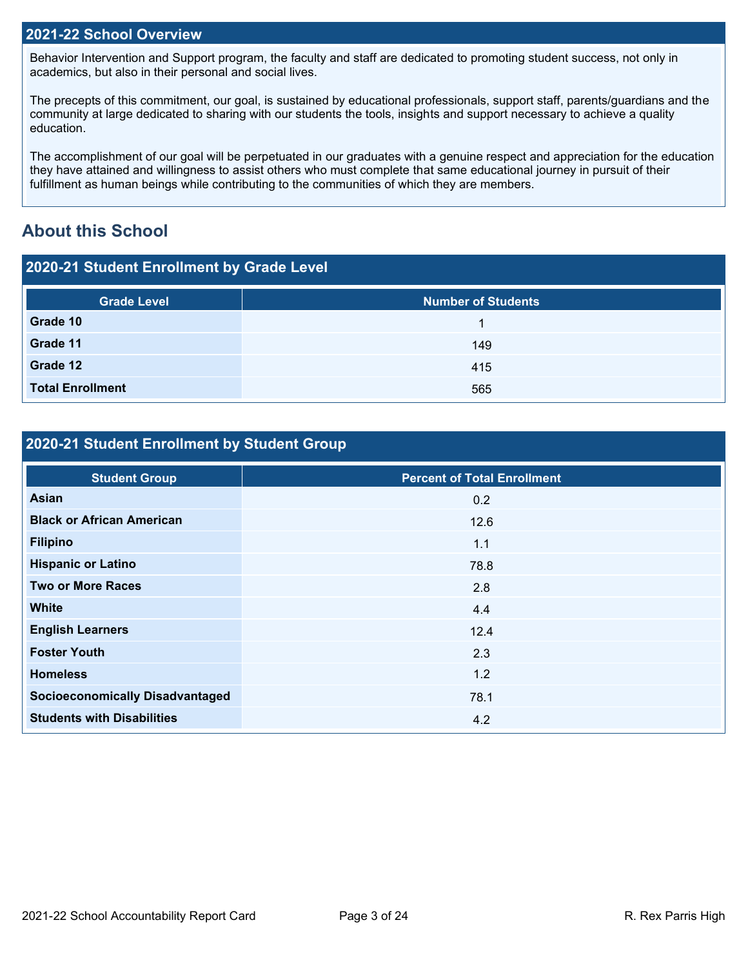### **2021-22 School Overview**

Behavior Intervention and Support program, the faculty and staff are dedicated to promoting student success, not only in academics, but also in their personal and social lives.

The precepts of this commitment, our goal, is sustained by educational professionals, support staff, parents/guardians and the community at large dedicated to sharing with our students the tools, insights and support necessary to achieve a quality education.

The accomplishment of our goal will be perpetuated in our graduates with a genuine respect and appreciation for the education they have attained and willingness to assist others who must complete that same educational journey in pursuit of their fulfillment as human beings while contributing to the communities of which they are members.

## **About this School**

| 2020-21 Student Enrollment by Grade Level |                           |  |  |  |
|-------------------------------------------|---------------------------|--|--|--|
| <b>Grade Level</b>                        | <b>Number of Students</b> |  |  |  |
| Grade 10                                  |                           |  |  |  |
| Grade 11                                  | 149                       |  |  |  |
| Grade 12                                  | 415                       |  |  |  |
| <b>Total Enrollment</b>                   | 565                       |  |  |  |

## **2020-21 Student Enrollment by Student Group**

| <b>Student Group</b>                   | <b>Percent of Total Enrollment</b> |
|----------------------------------------|------------------------------------|
| <b>Asian</b>                           | 0.2                                |
| <b>Black or African American</b>       | 12.6                               |
| <b>Filipino</b>                        | 1.1                                |
| <b>Hispanic or Latino</b>              | 78.8                               |
| <b>Two or More Races</b>               | 2.8                                |
| <b>White</b>                           | 4.4                                |
| <b>English Learners</b>                | 12.4                               |
| <b>Foster Youth</b>                    | 2.3                                |
| <b>Homeless</b>                        | 1.2                                |
| <b>Socioeconomically Disadvantaged</b> | 78.1                               |
| <b>Students with Disabilities</b>      | 4.2                                |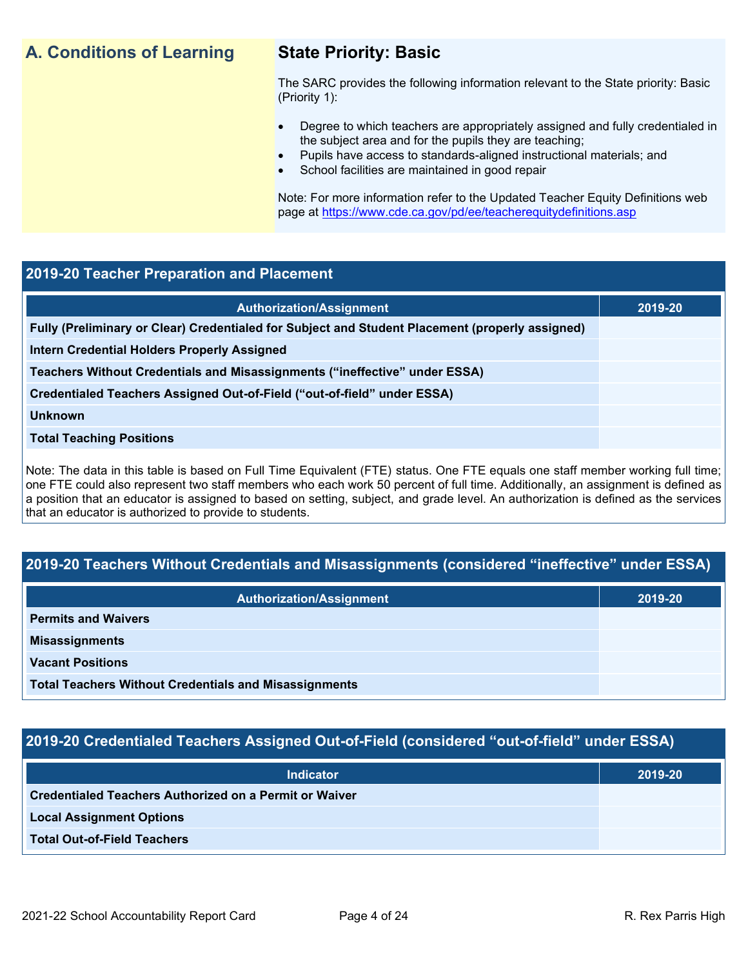## **A. Conditions of Learning State Priority: Basic**

The SARC provides the following information relevant to the State priority: Basic (Priority 1):

- Degree to which teachers are appropriately assigned and fully credentialed in the subject area and for the pupils they are teaching;
	- Pupils have access to standards-aligned instructional materials; and
- School facilities are maintained in good repair

Note: For more information refer to the Updated Teacher Equity Definitions web page at<https://www.cde.ca.gov/pd/ee/teacherequitydefinitions.asp>

### **2019-20 Teacher Preparation and Placement**

| <b>Authorization/Assignment</b>                                                                 | 2019-20 |
|-------------------------------------------------------------------------------------------------|---------|
| Fully (Preliminary or Clear) Credentialed for Subject and Student Placement (properly assigned) |         |
| <b>Intern Credential Holders Properly Assigned</b>                                              |         |
| Teachers Without Credentials and Misassignments ("ineffective" under ESSA)                      |         |
| Credentialed Teachers Assigned Out-of-Field ("out-of-field" under ESSA)                         |         |
| <b>Unknown</b>                                                                                  |         |
| <b>Total Teaching Positions</b>                                                                 |         |
|                                                                                                 |         |

Note: The data in this table is based on Full Time Equivalent (FTE) status. One FTE equals one staff member working full time; one FTE could also represent two staff members who each work 50 percent of full time. Additionally, an assignment is defined as a position that an educator is assigned to based on setting, subject, and grade level. An authorization is defined as the services that an educator is authorized to provide to students.

## **2019-20 Teachers Without Credentials and Misassignments (considered "ineffective" under ESSA)**

| <b>Authorization/Assignment</b>                              | 2019-20 |  |
|--------------------------------------------------------------|---------|--|
| <b>Permits and Waivers</b>                                   |         |  |
| <b>Misassignments</b>                                        |         |  |
| <b>Vacant Positions</b>                                      |         |  |
| <b>Total Teachers Without Credentials and Misassignments</b> |         |  |

## **2019-20 Credentialed Teachers Assigned Out-of-Field (considered "out-of-field" under ESSA)**

| <b>Indicator</b>                                              | 2019-20 |
|---------------------------------------------------------------|---------|
| <b>Credentialed Teachers Authorized on a Permit or Waiver</b> |         |
| <b>Local Assignment Options</b>                               |         |
| <b>Total Out-of-Field Teachers</b>                            |         |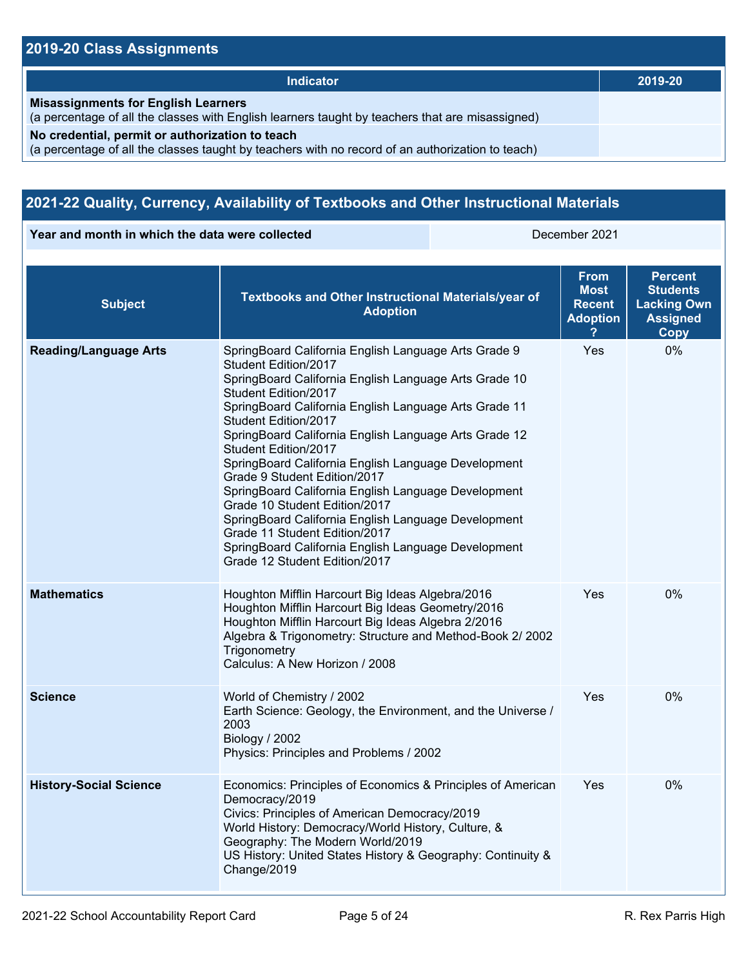## **2019-20 Class Assignments**

| Indicator                                                                                                                                           | 2019-20 |
|-----------------------------------------------------------------------------------------------------------------------------------------------------|---------|
| <b>Misassignments for English Learners</b><br>(a percentage of all the classes with English learners taught by teachers that are misassigned)       |         |
| No credential, permit or authorization to teach<br>(a percentage of all the classes taught by teachers with no record of an authorization to teach) |         |

## **2021-22 Quality, Currency, Availability of Textbooks and Other Instructional Materials**

**Year and month in which the data were collected** December 2021

| <b>Subject</b>                | Textbooks and Other Instructional Materials/year of<br><b>Adoption</b>                                                                                                                                                                                                                                                                                                                                                                                                                                                                                                                                                                                                                         | <b>From</b><br>Most<br><b>Recent</b><br><b>Adoption</b> | <b>Percent</b><br><b>Students</b><br><b>Lacking Own</b><br><b>Assigned</b><br>Copy |  |
|-------------------------------|------------------------------------------------------------------------------------------------------------------------------------------------------------------------------------------------------------------------------------------------------------------------------------------------------------------------------------------------------------------------------------------------------------------------------------------------------------------------------------------------------------------------------------------------------------------------------------------------------------------------------------------------------------------------------------------------|---------------------------------------------------------|------------------------------------------------------------------------------------|--|
| <b>Reading/Language Arts</b>  | SpringBoard California English Language Arts Grade 9<br>Student Edition/2017<br>SpringBoard California English Language Arts Grade 10<br>Student Edition/2017<br>SpringBoard California English Language Arts Grade 11<br>Student Edition/2017<br>SpringBoard California English Language Arts Grade 12<br>Student Edition/2017<br>SpringBoard California English Language Development<br>Grade 9 Student Edition/2017<br>SpringBoard California English Language Development<br>Grade 10 Student Edition/2017<br>SpringBoard California English Language Development<br>Grade 11 Student Edition/2017<br>SpringBoard California English Language Development<br>Grade 12 Student Edition/2017 | Yes                                                     | 0%                                                                                 |  |
| <b>Mathematics</b>            | Houghton Mifflin Harcourt Big Ideas Algebra/2016<br>Houghton Mifflin Harcourt Big Ideas Geometry/2016<br>Houghton Mifflin Harcourt Big Ideas Algebra 2/2016<br>Algebra & Trigonometry: Structure and Method-Book 2/ 2002<br>Trigonometry<br>Calculus: A New Horizon / 2008                                                                                                                                                                                                                                                                                                                                                                                                                     | Yes                                                     | 0%                                                                                 |  |
| <b>Science</b>                | World of Chemistry / 2002<br>Earth Science: Geology, the Environment, and the Universe /<br>2003<br>Biology / 2002<br>Physics: Principles and Problems / 2002                                                                                                                                                                                                                                                                                                                                                                                                                                                                                                                                  | Yes                                                     | 0%                                                                                 |  |
| <b>History-Social Science</b> | Economics: Principles of Economics & Principles of American<br>Democracy/2019<br>Civics: Principles of American Democracy/2019<br>World History: Democracy/World History, Culture, &<br>Geography: The Modern World/2019<br>US History: United States History & Geography: Continuity &<br>Change/2019                                                                                                                                                                                                                                                                                                                                                                                         | <b>Yes</b>                                              | 0%                                                                                 |  |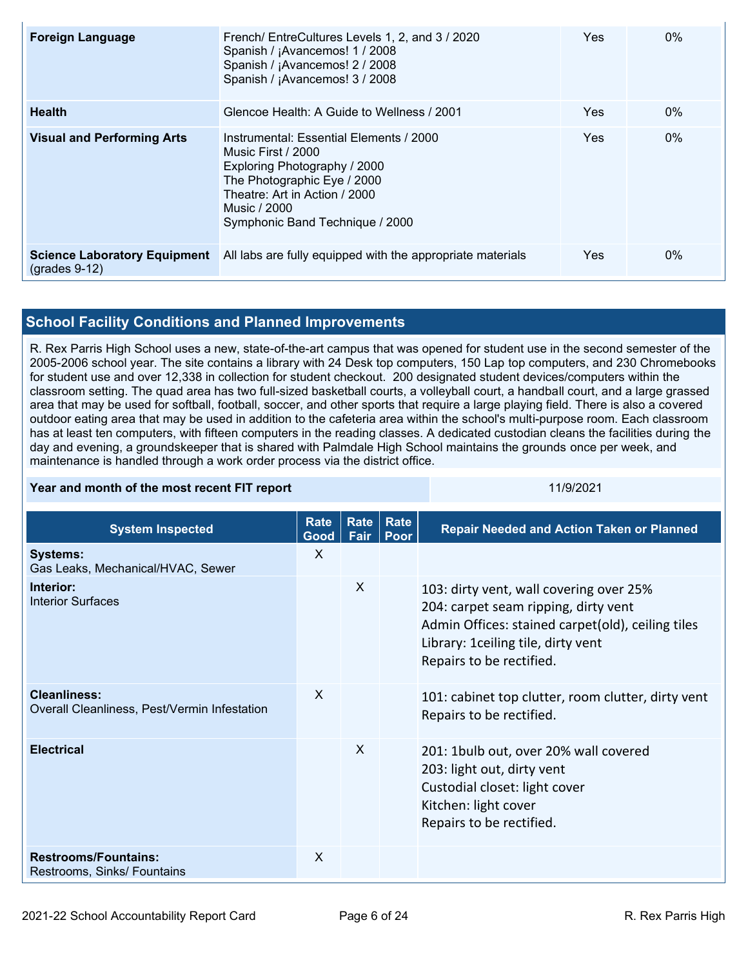| <b>Foreign Language</b>                                    | French/ EntreCultures Levels 1, 2, and 3 / 2020<br>Spanish / ¡Avancemos! 1 / 2008<br>Spanish / ¡Avancemos! 2 / 2008<br>Spanish / ¡Avancemos! 3 / 2008                                                            | Yes | $0\%$ |
|------------------------------------------------------------|------------------------------------------------------------------------------------------------------------------------------------------------------------------------------------------------------------------|-----|-------|
| <b>Health</b>                                              | Glencoe Health: A Guide to Wellness / 2001                                                                                                                                                                       | Yes | $0\%$ |
| <b>Visual and Performing Arts</b>                          | Instrumental: Essential Elements / 2000<br>Music First / 2000<br>Exploring Photography / 2000<br>The Photographic Eye / 2000<br>Theatre: Art in Action / 2000<br>Music / 2000<br>Symphonic Band Technique / 2000 | Yes | $0\%$ |
| <b>Science Laboratory Equipment</b><br>$($ grades 9-12 $)$ | All labs are fully equipped with the appropriate materials                                                                                                                                                       | Yes | $0\%$ |

## **School Facility Conditions and Planned Improvements**

R. Rex Parris High School uses a new, state-of-the-art campus that was opened for student use in the second semester of the 2005-2006 school year. The site contains a library with 24 Desk top computers, 150 Lap top computers, and 230 Chromebooks for student use and over 12,338 in collection for student checkout. 200 designated student devices/computers within the classroom setting. The quad area has two full-sized basketball courts, a volleyball court, a handball court, and a large grassed area that may be used for softball, football, soccer, and other sports that require a large playing field. There is also a covered outdoor eating area that may be used in addition to the cafeteria area within the school's multi-purpose room. Each classroom has at least ten computers, with fifteen computers in the reading classes. A dedicated custodian cleans the facilities during the day and evening, a groundskeeper that is shared with Palmdale High School maintains the grounds once per week, and maintenance is handled through a work order process via the district office.

| Year and month of the most recent FIT report | 11/9/2021 |
|----------------------------------------------|-----------|
|                                              |           |

| <b>System Inspected</b>                                             | Rate<br>Good | Rate<br>Fair | Rate<br>Poor | <b>Repair Needed and Action Taken or Planned</b>                                                                                                                                                        |
|---------------------------------------------------------------------|--------------|--------------|--------------|---------------------------------------------------------------------------------------------------------------------------------------------------------------------------------------------------------|
| <b>Systems:</b><br>Gas Leaks, Mechanical/HVAC, Sewer                | X            |              |              |                                                                                                                                                                                                         |
| Interior:<br><b>Interior Surfaces</b>                               |              | $\mathsf{X}$ |              | 103: dirty vent, wall covering over 25%<br>204: carpet seam ripping, dirty vent<br>Admin Offices: stained carpet(old), ceiling tiles<br>Library: 1 ceiling tile, dirty vent<br>Repairs to be rectified. |
| <b>Cleanliness:</b><br>Overall Cleanliness, Pest/Vermin Infestation | X            |              |              | 101: cabinet top clutter, room clutter, dirty vent<br>Repairs to be rectified.                                                                                                                          |
| <b>Electrical</b>                                                   |              | $\mathsf{x}$ |              | 201: 1bulb out, over 20% wall covered<br>203: light out, dirty vent<br>Custodial closet: light cover<br>Kitchen: light cover<br>Repairs to be rectified.                                                |
| <b>Restrooms/Fountains:</b><br>Restrooms, Sinks/ Fountains          | X            |              |              |                                                                                                                                                                                                         |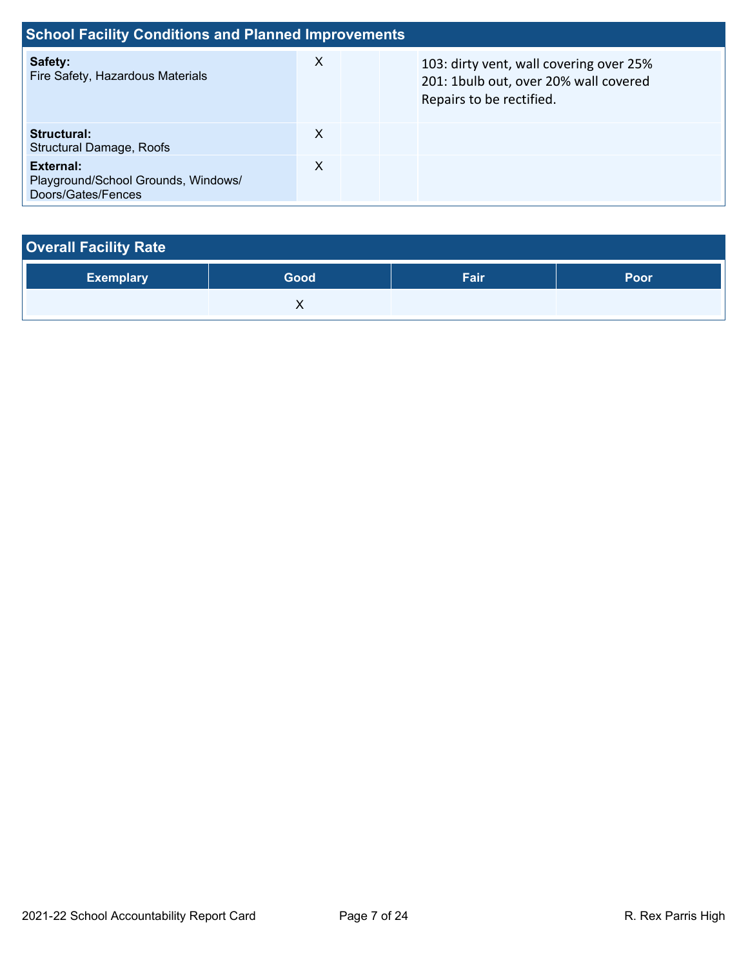| <b>School Facility Conditions and Planned Improvements</b>             |   |  |                                                                                                              |  |  |  |  |  |
|------------------------------------------------------------------------|---|--|--------------------------------------------------------------------------------------------------------------|--|--|--|--|--|
| Safety:<br>Fire Safety, Hazardous Materials                            | X |  | 103: dirty vent, wall covering over 25%<br>201: 1bulb out, over 20% wall covered<br>Repairs to be rectified. |  |  |  |  |  |
| Structural:<br><b>Structural Damage, Roofs</b>                         | X |  |                                                                                                              |  |  |  |  |  |
| External:<br>Playground/School Grounds, Windows/<br>Doors/Gates/Fences | X |  |                                                                                                              |  |  |  |  |  |

| <b>Overall Facility Rate</b> |      |      |      |
|------------------------------|------|------|------|
| <b>Exemplary</b>             | Good | Fair | Poor |
|                              |      |      |      |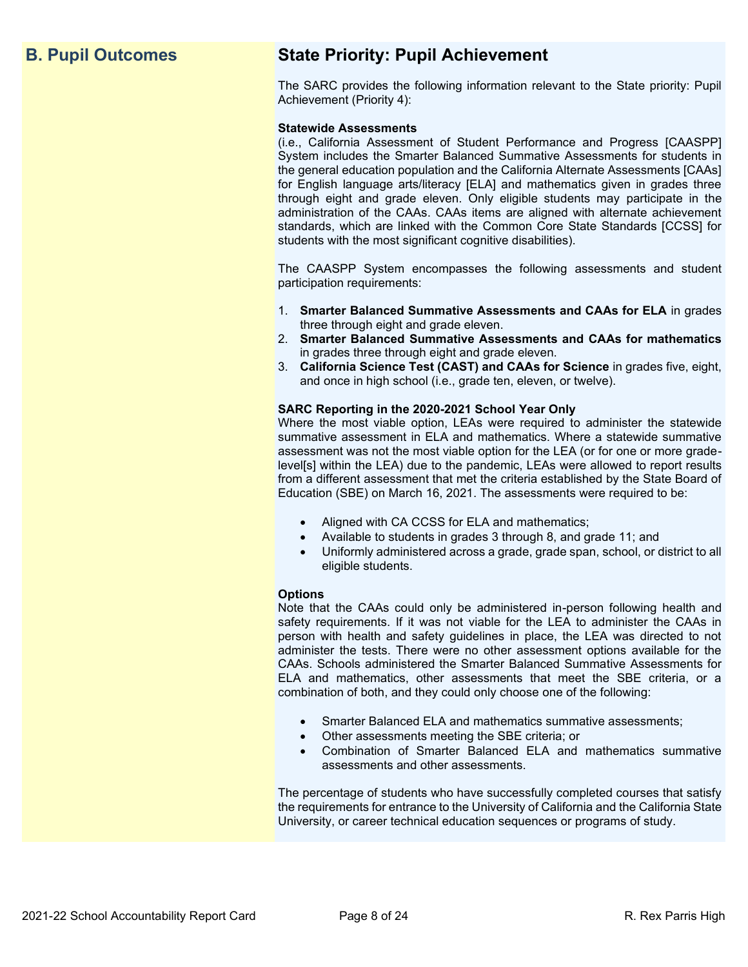## **B. Pupil Outcomes State Priority: Pupil Achievement**

The SARC provides the following information relevant to the State priority: Pupil Achievement (Priority 4):

#### **Statewide Assessments**

(i.e., California Assessment of Student Performance and Progress [CAASPP] System includes the Smarter Balanced Summative Assessments for students in the general education population and the California Alternate Assessments [CAAs] for English language arts/literacy [ELA] and mathematics given in grades three through eight and grade eleven. Only eligible students may participate in the administration of the CAAs. CAAs items are aligned with alternate achievement standards, which are linked with the Common Core State Standards [CCSS] for students with the most significant cognitive disabilities).

The CAASPP System encompasses the following assessments and student participation requirements:

- 1. **Smarter Balanced Summative Assessments and CAAs for ELA** in grades three through eight and grade eleven.
- 2. **Smarter Balanced Summative Assessments and CAAs for mathematics** in grades three through eight and grade eleven.
- 3. **California Science Test (CAST) and CAAs for Science** in grades five, eight, and once in high school (i.e., grade ten, eleven, or twelve).

#### **SARC Reporting in the 2020-2021 School Year Only**

Where the most viable option, LEAs were required to administer the statewide summative assessment in ELA and mathematics. Where a statewide summative assessment was not the most viable option for the LEA (or for one or more gradelevel[s] within the LEA) due to the pandemic, LEAs were allowed to report results from a different assessment that met the criteria established by the State Board of Education (SBE) on March 16, 2021. The assessments were required to be:

- Aligned with CA CCSS for ELA and mathematics;
- Available to students in grades 3 through 8, and grade 11; and
- Uniformly administered across a grade, grade span, school, or district to all eligible students.

#### **Options**

Note that the CAAs could only be administered in-person following health and safety requirements. If it was not viable for the LEA to administer the CAAs in person with health and safety guidelines in place, the LEA was directed to not administer the tests. There were no other assessment options available for the CAAs. Schools administered the Smarter Balanced Summative Assessments for ELA and mathematics, other assessments that meet the SBE criteria, or a combination of both, and they could only choose one of the following:

- Smarter Balanced ELA and mathematics summative assessments;
- Other assessments meeting the SBE criteria; or
- Combination of Smarter Balanced ELA and mathematics summative assessments and other assessments.

The percentage of students who have successfully completed courses that satisfy the requirements for entrance to the University of California and the California State University, or career technical education sequences or programs of study.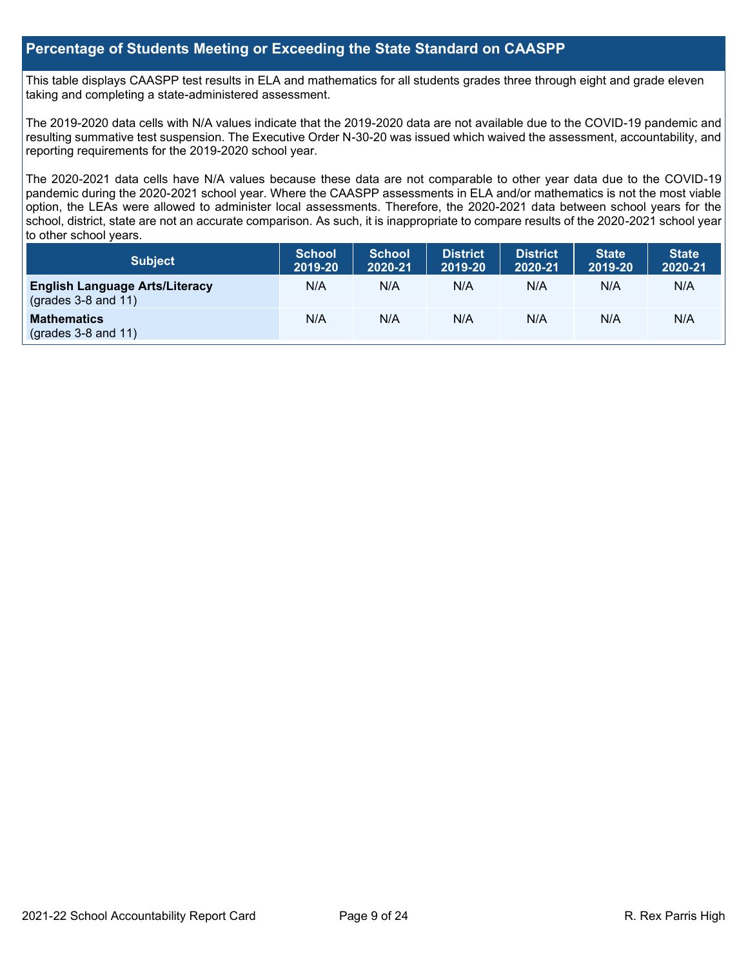## **Percentage of Students Meeting or Exceeding the State Standard on CAASPP**

This table displays CAASPP test results in ELA and mathematics for all students grades three through eight and grade eleven taking and completing a state-administered assessment.

The 2019-2020 data cells with N/A values indicate that the 2019-2020 data are not available due to the COVID-19 pandemic and resulting summative test suspension. The Executive Order N-30-20 was issued which waived the assessment, accountability, and reporting requirements for the 2019-2020 school year.

The 2020-2021 data cells have N/A values because these data are not comparable to other year data due to the COVID-19 pandemic during the 2020-2021 school year. Where the CAASPP assessments in ELA and/or mathematics is not the most viable option, the LEAs were allowed to administer local assessments. Therefore, the 2020-2021 data between school years for the school, district, state are not an accurate comparison. As such, it is inappropriate to compare results of the 2020-2021 school year to other school years.

| Subject                                                              | <b>School</b><br>2019-20 | <b>School</b><br>2020-21 | <b>District</b><br>2019-20 | <b>District</b><br>2020-21 | <b>State</b><br>2019-20 | <b>State</b><br>2020-21 |
|----------------------------------------------------------------------|--------------------------|--------------------------|----------------------------|----------------------------|-------------------------|-------------------------|
| <b>English Language Arts/Literacy</b><br>$\left($ grades 3-8 and 11) | N/A                      | N/A                      | N/A                        | N/A                        | N/A                     | N/A                     |
| <b>Mathematics</b><br>$(grades 3-8 and 11)$                          | N/A                      | N/A                      | N/A                        | N/A                        | N/A                     | N/A                     |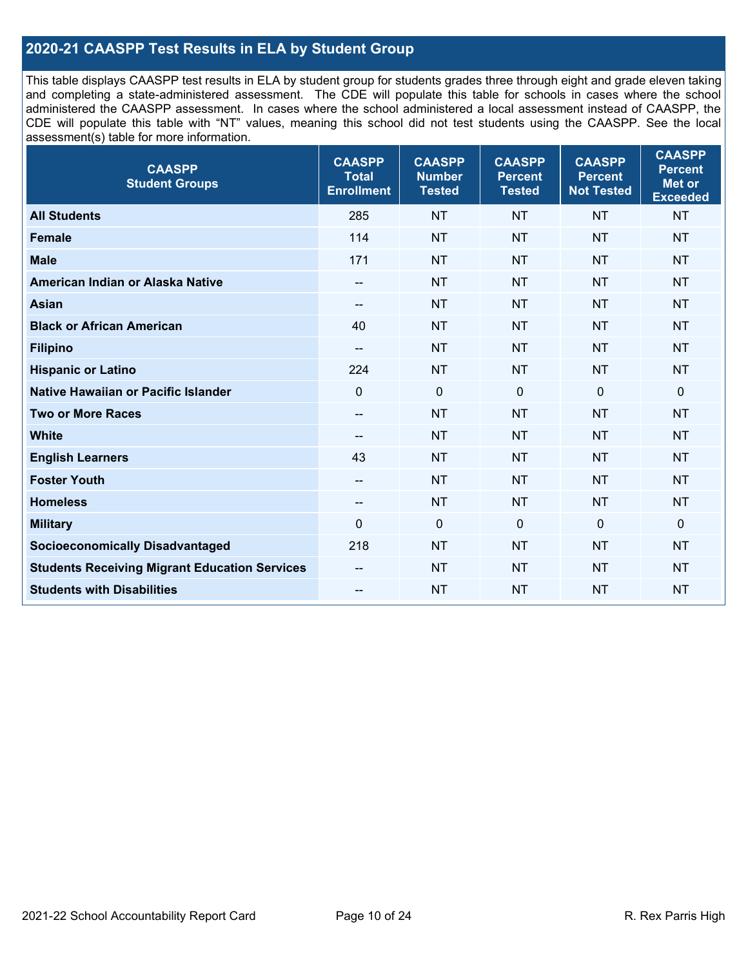## **2020-21 CAASPP Test Results in ELA by Student Group**

This table displays CAASPP test results in ELA by student group for students grades three through eight and grade eleven taking and completing a state-administered assessment. The CDE will populate this table for schools in cases where the school administered the CAASPP assessment. In cases where the school administered a local assessment instead of CAASPP, the CDE will populate this table with "NT" values, meaning this school did not test students using the CAASPP. See the local assessment(s) table for more information.

| <b>CAASPP</b><br><b>Student Groups</b>               | <b>CAASPP</b><br><b>Total</b><br><b>Enrollment</b> | <b>CAASPP</b><br><b>Number</b><br><b>Tested</b> | <b>CAASPP</b><br><b>Percent</b><br><b>Tested</b> | <b>CAASPP</b><br><b>Percent</b><br><b>Not Tested</b> | <b>CAASPP</b><br><b>Percent</b><br><b>Met or</b><br><b>Exceeded</b> |
|------------------------------------------------------|----------------------------------------------------|-------------------------------------------------|--------------------------------------------------|------------------------------------------------------|---------------------------------------------------------------------|
| <b>All Students</b>                                  | 285                                                | <b>NT</b>                                       | <b>NT</b>                                        | <b>NT</b>                                            | <b>NT</b>                                                           |
| <b>Female</b>                                        | 114                                                | <b>NT</b>                                       | <b>NT</b>                                        | <b>NT</b>                                            | <b>NT</b>                                                           |
| <b>Male</b>                                          | 171                                                | <b>NT</b>                                       | <b>NT</b>                                        | <b>NT</b>                                            | <b>NT</b>                                                           |
| American Indian or Alaska Native                     | --                                                 | <b>NT</b>                                       | <b>NT</b>                                        | <b>NT</b>                                            | <b>NT</b>                                                           |
| <b>Asian</b>                                         |                                                    | <b>NT</b>                                       | <b>NT</b>                                        | <b>NT</b>                                            | <b>NT</b>                                                           |
| <b>Black or African American</b>                     | 40                                                 | <b>NT</b>                                       | <b>NT</b>                                        | <b>NT</b>                                            | <b>NT</b>                                                           |
| <b>Filipino</b>                                      | $\overline{\phantom{a}}$                           | <b>NT</b>                                       | <b>NT</b>                                        | <b>NT</b>                                            | <b>NT</b>                                                           |
| <b>Hispanic or Latino</b>                            | 224                                                | <b>NT</b>                                       | <b>NT</b>                                        | <b>NT</b>                                            | <b>NT</b>                                                           |
| Native Hawaiian or Pacific Islander                  | $\mathbf 0$                                        | $\mathbf 0$                                     | $\mathbf 0$                                      | $\mathbf 0$                                          | $\mathbf 0$                                                         |
| <b>Two or More Races</b>                             | $\overline{\phantom{a}}$                           | <b>NT</b>                                       | <b>NT</b>                                        | <b>NT</b>                                            | <b>NT</b>                                                           |
| <b>White</b>                                         | --                                                 | <b>NT</b>                                       | <b>NT</b>                                        | <b>NT</b>                                            | <b>NT</b>                                                           |
| <b>English Learners</b>                              | 43                                                 | <b>NT</b>                                       | <b>NT</b>                                        | <b>NT</b>                                            | <b>NT</b>                                                           |
| <b>Foster Youth</b>                                  | $-$                                                | <b>NT</b>                                       | <b>NT</b>                                        | <b>NT</b>                                            | <b>NT</b>                                                           |
| <b>Homeless</b>                                      | --                                                 | <b>NT</b>                                       | <b>NT</b>                                        | <b>NT</b>                                            | <b>NT</b>                                                           |
| <b>Military</b>                                      | 0                                                  | $\pmb{0}$                                       | 0                                                | $\mathbf 0$                                          | 0                                                                   |
| <b>Socioeconomically Disadvantaged</b>               | 218                                                | <b>NT</b>                                       | <b>NT</b>                                        | <b>NT</b>                                            | <b>NT</b>                                                           |
| <b>Students Receiving Migrant Education Services</b> |                                                    | <b>NT</b>                                       | <b>NT</b>                                        | <b>NT</b>                                            | NT                                                                  |
| <b>Students with Disabilities</b>                    | --                                                 | <b>NT</b>                                       | <b>NT</b>                                        | <b>NT</b>                                            | <b>NT</b>                                                           |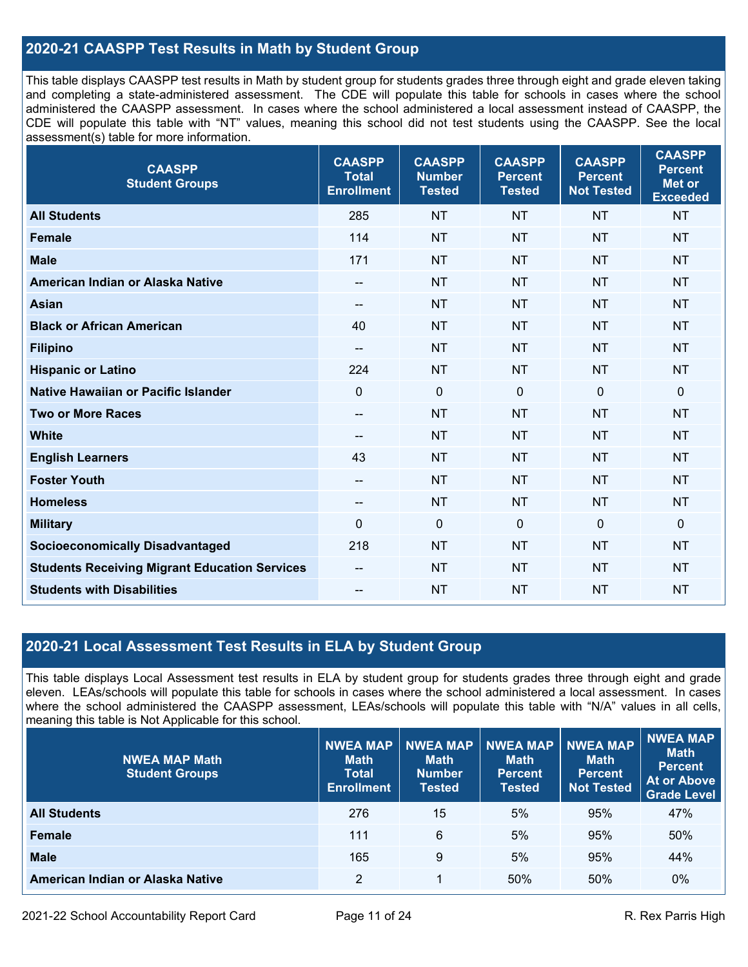## **2020-21 CAASPP Test Results in Math by Student Group**

This table displays CAASPP test results in Math by student group for students grades three through eight and grade eleven taking and completing a state-administered assessment. The CDE will populate this table for schools in cases where the school administered the CAASPP assessment. In cases where the school administered a local assessment instead of CAASPP, the CDE will populate this table with "NT" values, meaning this school did not test students using the CAASPP. See the local assessment(s) table for more information.

| <b>CAASPP</b><br><b>Student Groups</b>               | <b>CAASPP</b><br><b>Total</b><br><b>Enrollment</b> | <b>CAASPP</b><br><b>Number</b><br><b>Tested</b> | <b>CAASPP</b><br><b>Percent</b><br><b>Tested</b> | <b>CAASPP</b><br><b>Percent</b><br><b>Not Tested</b> | <b>CAASPP</b><br><b>Percent</b><br><b>Met or</b><br><b>Exceeded</b> |
|------------------------------------------------------|----------------------------------------------------|-------------------------------------------------|--------------------------------------------------|------------------------------------------------------|---------------------------------------------------------------------|
| <b>All Students</b>                                  | 285                                                | <b>NT</b>                                       | <b>NT</b>                                        | <b>NT</b>                                            | <b>NT</b>                                                           |
| <b>Female</b>                                        | 114                                                | <b>NT</b>                                       | <b>NT</b>                                        | <b>NT</b>                                            | <b>NT</b>                                                           |
| <b>Male</b>                                          | 171                                                | <b>NT</b>                                       | <b>NT</b>                                        | <b>NT</b>                                            | <b>NT</b>                                                           |
| American Indian or Alaska Native                     | $-$                                                | <b>NT</b>                                       | <b>NT</b>                                        | <b>NT</b>                                            | <b>NT</b>                                                           |
| <b>Asian</b>                                         | $\overline{\phantom{a}}$                           | <b>NT</b>                                       | <b>NT</b>                                        | <b>NT</b>                                            | <b>NT</b>                                                           |
| <b>Black or African American</b>                     | 40                                                 | <b>NT</b>                                       | <b>NT</b>                                        | <b>NT</b>                                            | <b>NT</b>                                                           |
| <b>Filipino</b>                                      | $\overline{\phantom{a}}$                           | <b>NT</b>                                       | <b>NT</b>                                        | <b>NT</b>                                            | <b>NT</b>                                                           |
| <b>Hispanic or Latino</b>                            | 224                                                | <b>NT</b>                                       | <b>NT</b>                                        | <b>NT</b>                                            | <b>NT</b>                                                           |
| Native Hawaiian or Pacific Islander                  | $\mathbf 0$                                        | $\mathbf 0$                                     | $\mathbf 0$                                      | $\mathbf 0$                                          | $\mathbf 0$                                                         |
| <b>Two or More Races</b>                             | $\overline{\phantom{a}}$                           | <b>NT</b>                                       | <b>NT</b>                                        | <b>NT</b>                                            | <b>NT</b>                                                           |
| <b>White</b>                                         | --                                                 | <b>NT</b>                                       | <b>NT</b>                                        | <b>NT</b>                                            | <b>NT</b>                                                           |
| <b>English Learners</b>                              | 43                                                 | <b>NT</b>                                       | <b>NT</b>                                        | <b>NT</b>                                            | <b>NT</b>                                                           |
| <b>Foster Youth</b>                                  | $-$                                                | <b>NT</b>                                       | <b>NT</b>                                        | <b>NT</b>                                            | <b>NT</b>                                                           |
| <b>Homeless</b>                                      | $\overline{\phantom{m}}$                           | <b>NT</b>                                       | <b>NT</b>                                        | <b>NT</b>                                            | <b>NT</b>                                                           |
| <b>Military</b>                                      | $\mathbf 0$                                        | $\pmb{0}$                                       | $\mathbf 0$                                      | $\mathbf 0$                                          | $\mathbf 0$                                                         |
| <b>Socioeconomically Disadvantaged</b>               | 218                                                | <b>NT</b>                                       | <b>NT</b>                                        | <b>NT</b>                                            | <b>NT</b>                                                           |
| <b>Students Receiving Migrant Education Services</b> | --                                                 | <b>NT</b>                                       | <b>NT</b>                                        | <b>NT</b>                                            | <b>NT</b>                                                           |
| <b>Students with Disabilities</b>                    | --                                                 | <b>NT</b>                                       | <b>NT</b>                                        | <b>NT</b>                                            | <b>NT</b>                                                           |

## **2020-21 Local Assessment Test Results in ELA by Student Group**

This table displays Local Assessment test results in ELA by student group for students grades three through eight and grade eleven. LEAs/schools will populate this table for schools in cases where the school administered a local assessment. In cases where the school administered the CAASPP assessment, LEAs/schools will populate this table with "N/A" values in all cells, meaning this table is Not Applicable for this school.

| <b>NWEA MAP Math</b><br><b>Student Groups</b> | <b>NWEA MAP</b><br><b>Math</b><br><b>Total</b><br><b>Enrollment</b> | <b>NWEA MAP</b><br><b>Math</b><br><b>Number</b><br>Tested | <b>NWEA MAP</b><br><b>Math</b><br><b>Percent</b><br><b>Tested</b> | <b>NWEA MAP</b><br><b>Math</b><br>Percent<br><b>Not Tested</b> | NWEA MAP<br><b>Math</b><br><b>Percent</b><br><b>At or Above</b><br><b>Grade Level</b> |
|-----------------------------------------------|---------------------------------------------------------------------|-----------------------------------------------------------|-------------------------------------------------------------------|----------------------------------------------------------------|---------------------------------------------------------------------------------------|
| <b>All Students</b>                           | 276                                                                 | 15                                                        | 5%                                                                | 95%                                                            | 47%                                                                                   |
| <b>Female</b>                                 | 111                                                                 | 6                                                         | 5%                                                                | 95%                                                            | 50%                                                                                   |
| <b>Male</b>                                   | 165                                                                 | 9                                                         | 5%                                                                | 95%                                                            | 44%                                                                                   |
| American Indian or Alaska Native              | $\overline{2}$                                                      | 1                                                         | 50%                                                               | 50%                                                            | 0%                                                                                    |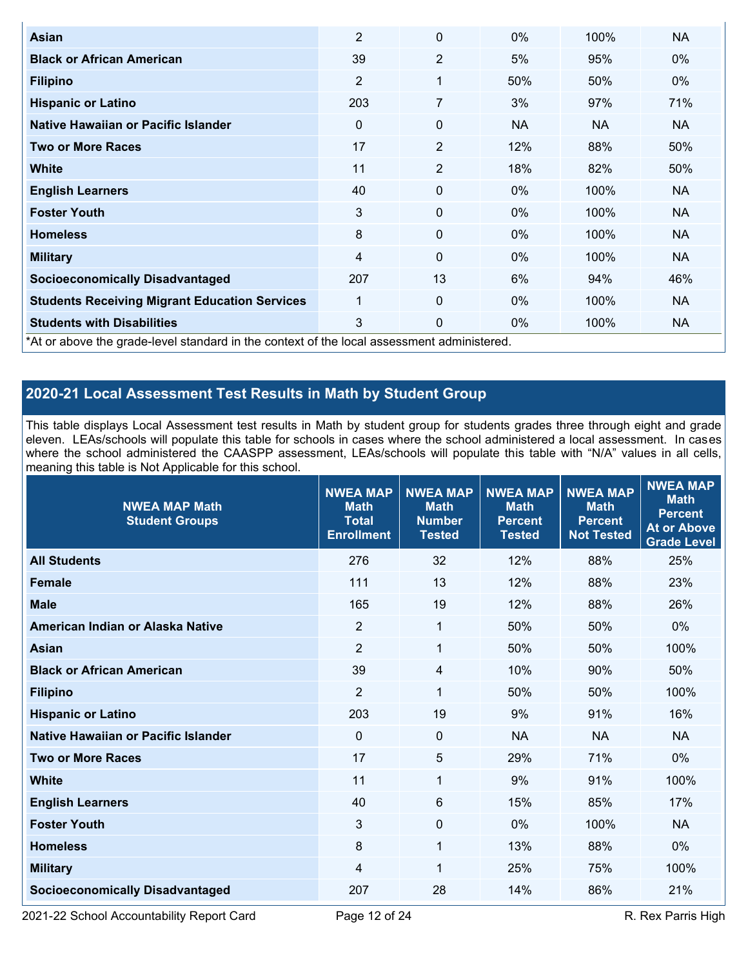| Asian                                                                                      | $\overline{2}$ | 0              | $0\%$     | 100%      | <b>NA</b> |
|--------------------------------------------------------------------------------------------|----------------|----------------|-----------|-----------|-----------|
|                                                                                            |                |                |           |           |           |
| <b>Black or African American</b>                                                           | 39             | $\overline{2}$ | 5%        | 95%       | $0\%$     |
| <b>Filipino</b>                                                                            | $\overline{2}$ | 1              | 50%       | 50%       | $0\%$     |
| <b>Hispanic or Latino</b>                                                                  | 203            | 7              | 3%        | 97%       | 71%       |
| Native Hawaiian or Pacific Islander                                                        | 0              | 0              | <b>NA</b> | <b>NA</b> | NA.       |
| <b>Two or More Races</b>                                                                   | 17             | $\overline{2}$ | 12%       | 88%       | 50%       |
| <b>White</b>                                                                               | 11             | $\overline{2}$ | 18%       | 82%       | 50%       |
| <b>English Learners</b>                                                                    | 40             | 0              | $0\%$     | 100%      | <b>NA</b> |
| <b>Foster Youth</b>                                                                        | 3              | 0              | $0\%$     | 100%      | <b>NA</b> |
| <b>Homeless</b>                                                                            | 8              | 0              | $0\%$     | 100%      | <b>NA</b> |
| <b>Military</b>                                                                            | 4              | 0              | 0%        | 100%      | <b>NA</b> |
| <b>Socioeconomically Disadvantaged</b>                                                     | 207            | 13             | 6%        | 94%       | 46%       |
| <b>Students Receiving Migrant Education Services</b>                                       | 1              | 0              | $0\%$     | 100%      | <b>NA</b> |
| <b>Students with Disabilities</b>                                                          | 3              | 0              | 0%        | 100%      | <b>NA</b> |
| *At or above the grade-level standard in the context of the local assessment administered. |                |                |           |           |           |

## **2020-21 Local Assessment Test Results in Math by Student Group**

This table displays Local Assessment test results in Math by student group for students grades three through eight and grade eleven. LEAs/schools will populate this table for schools in cases where the school administered a local assessment. In cases where the school administered the CAASPP assessment, LEAs/schools will populate this table with "N/A" values in all cells, meaning this table is Not Applicable for this school.

| <b>NWEA MAP Math</b><br><b>Student Groups</b> | <b>NWEA MAP</b><br><b>Math</b><br><b>Total</b><br><b>Enrollment</b> | <b>NWEA MAP</b><br><b>Math</b><br><b>Number</b><br><b>Tested</b> | <b>NWEA MAP</b><br><b>Math</b><br><b>Percent</b><br><b>Tested</b> | <b>NWEA MAP</b><br><b>Math</b><br><b>Percent</b><br><b>Not Tested</b> | <b>NWEA MAP</b><br><b>Math</b><br><b>Percent</b><br><b>At or Above</b><br><b>Grade Level</b> |
|-----------------------------------------------|---------------------------------------------------------------------|------------------------------------------------------------------|-------------------------------------------------------------------|-----------------------------------------------------------------------|----------------------------------------------------------------------------------------------|
| <b>All Students</b>                           | 276                                                                 | 32                                                               | 12%                                                               | 88%                                                                   | 25%                                                                                          |
| <b>Female</b>                                 | 111                                                                 | 13                                                               | 12%                                                               | 88%                                                                   | 23%                                                                                          |
| <b>Male</b>                                   | 165                                                                 | 19                                                               | 12%                                                               | 88%                                                                   | 26%                                                                                          |
| American Indian or Alaska Native              | $\overline{2}$                                                      | $\mathbf{1}$                                                     | 50%                                                               | 50%                                                                   | $0\%$                                                                                        |
| <b>Asian</b>                                  | $\overline{2}$                                                      | $\mathbf 1$                                                      | 50%                                                               | 50%                                                                   | 100%                                                                                         |
| <b>Black or African American</b>              | 39                                                                  | 4                                                                | 10%                                                               | 90%                                                                   | 50%                                                                                          |
| <b>Filipino</b>                               | $\overline{2}$                                                      | 1                                                                | 50%                                                               | 50%                                                                   | 100%                                                                                         |
| <b>Hispanic or Latino</b>                     | 203                                                                 | 19                                                               | 9%                                                                | 91%                                                                   | 16%                                                                                          |
| Native Hawaiian or Pacific Islander           | $\Omega$                                                            | $\mathbf 0$                                                      | <b>NA</b>                                                         | <b>NA</b>                                                             | <b>NA</b>                                                                                    |
| <b>Two or More Races</b>                      | 17                                                                  | 5                                                                | 29%                                                               | 71%                                                                   | 0%                                                                                           |
| <b>White</b>                                  | 11                                                                  | 1                                                                | 9%                                                                | 91%                                                                   | 100%                                                                                         |
| <b>English Learners</b>                       | 40                                                                  | 6                                                                | 15%                                                               | 85%                                                                   | 17%                                                                                          |
| <b>Foster Youth</b>                           | 3                                                                   | $\mathbf 0$                                                      | 0%                                                                | 100%                                                                  | <b>NA</b>                                                                                    |
| <b>Homeless</b>                               | 8                                                                   | $\mathbf{1}$                                                     | 13%                                                               | 88%                                                                   | $0\%$                                                                                        |
| <b>Military</b>                               | 4                                                                   | 1                                                                | 25%                                                               | 75%                                                                   | 100%                                                                                         |
| <b>Socioeconomically Disadvantaged</b>        | 207                                                                 | 28                                                               | 14%                                                               | 86%                                                                   | 21%                                                                                          |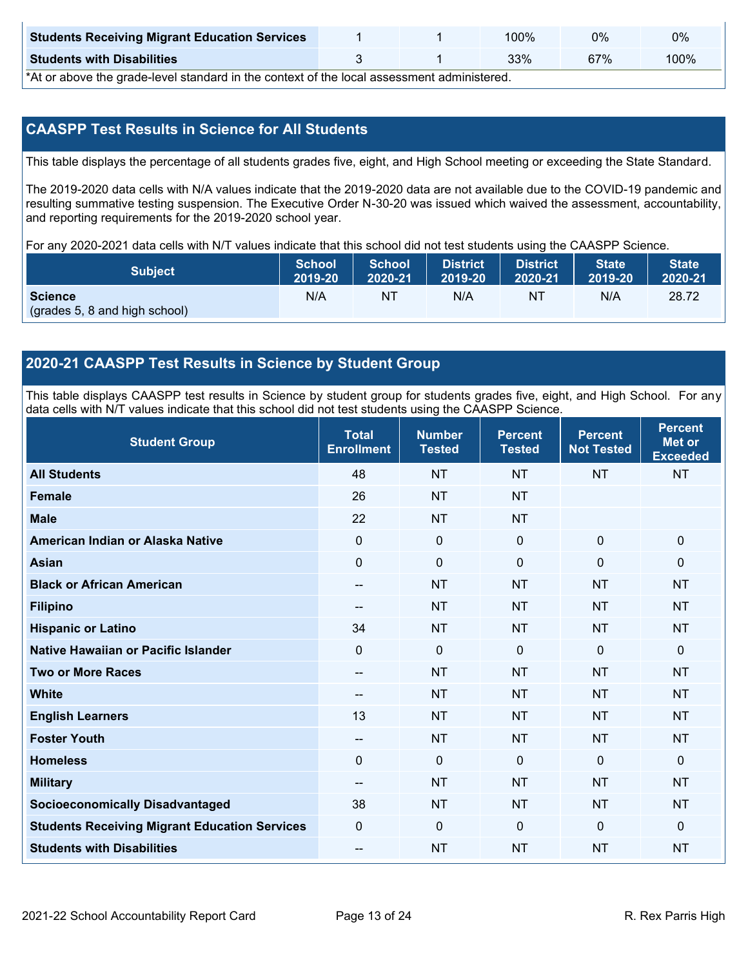| <b>Students Receiving Migrant Education Services</b> |  | 00%ا | 0%  | 0%   |
|------------------------------------------------------|--|------|-----|------|
| <b>Students with Disabilities</b>                    |  | 33%  | 67% | 100% |

\*At or above the grade-level standard in the context of the local assessment administered.

## **CAASPP Test Results in Science for All Students**

This table displays the percentage of all students grades five, eight, and High School meeting or exceeding the State Standard.

The 2019-2020 data cells with N/A values indicate that the 2019-2020 data are not available due to the COVID-19 pandemic and resulting summative testing suspension. The Executive Order N-30-20 was issued which waived the assessment, accountability, and reporting requirements for the 2019-2020 school year.

For any 2020-2021 data cells with N/T values indicate that this school did not test students using the CAASPP Science.

| <b>Subject</b>                                  | School  | <b>School</b> | <b>District</b> | <b>District</b> | <b>State</b> | <b>State</b> |
|-------------------------------------------------|---------|---------------|-----------------|-----------------|--------------|--------------|
|                                                 | 2019-20 | 2020-21       | 2019-20         | 2020-21         | 2019-20      | 2020-21      |
| <b>Science</b><br>(grades 5, 8 and high school) | N/A     | NT            | N/A             | N1              | N/A          | 28.72        |

### **2020-21 CAASPP Test Results in Science by Student Group**

This table displays CAASPP test results in Science by student group for students grades five, eight, and High School. For any data cells with N/T values indicate that this school did not test students using the CAASPP Science.

| <b>Student Group</b>                                 | <b>Total</b><br><b>Enrollment</b> | <b>Number</b><br><b>Tested</b> | <b>Percent</b><br><b>Tested</b> | <b>Percent</b><br><b>Not Tested</b> | <b>Percent</b><br><b>Met or</b><br><b>Exceeded</b> |
|------------------------------------------------------|-----------------------------------|--------------------------------|---------------------------------|-------------------------------------|----------------------------------------------------|
| <b>All Students</b>                                  | 48                                | <b>NT</b>                      | <b>NT</b>                       | <b>NT</b>                           | <b>NT</b>                                          |
| Female                                               | 26                                | <b>NT</b>                      | <b>NT</b>                       |                                     |                                                    |
| <b>Male</b>                                          | 22                                | <b>NT</b>                      | <b>NT</b>                       |                                     |                                                    |
| American Indian or Alaska Native                     | 0                                 | $\pmb{0}$                      | $\mathbf 0$                     | $\mathbf 0$                         | $\mathbf 0$                                        |
| <b>Asian</b>                                         | 0                                 | $\pmb{0}$                      | $\mathbf 0$                     | 0                                   | $\mathbf 0$                                        |
| <b>Black or African American</b>                     | --                                | <b>NT</b>                      | <b>NT</b>                       | <b>NT</b>                           | <b>NT</b>                                          |
| <b>Filipino</b>                                      | $\overline{\phantom{m}}$          | <b>NT</b>                      | <b>NT</b>                       | <b>NT</b>                           | <b>NT</b>                                          |
| <b>Hispanic or Latino</b>                            | 34                                | <b>NT</b>                      | <b>NT</b>                       | <b>NT</b>                           | <b>NT</b>                                          |
| Native Hawaiian or Pacific Islander                  | 0                                 | $\mathbf 0$                    | $\mathbf{0}$                    | $\mathbf 0$                         | $\mathbf 0$                                        |
| <b>Two or More Races</b>                             | --                                | <b>NT</b>                      | <b>NT</b>                       | <b>NT</b>                           | <b>NT</b>                                          |
| <b>White</b>                                         | $\sim$                            | <b>NT</b>                      | <b>NT</b>                       | <b>NT</b>                           | <b>NT</b>                                          |
| <b>English Learners</b>                              | 13                                | <b>NT</b>                      | <b>NT</b>                       | <b>NT</b>                           | <b>NT</b>                                          |
| <b>Foster Youth</b>                                  | --                                | <b>NT</b>                      | <b>NT</b>                       | <b>NT</b>                           | <b>NT</b>                                          |
| <b>Homeless</b>                                      | 0                                 | $\mathbf 0$                    | $\mathbf 0$                     | 0                                   | $\mathbf 0$                                        |
| <b>Military</b>                                      | $\sim$                            | <b>NT</b>                      | <b>NT</b>                       | <b>NT</b>                           | <b>NT</b>                                          |
| <b>Socioeconomically Disadvantaged</b>               | 38                                | <b>NT</b>                      | <b>NT</b>                       | <b>NT</b>                           | <b>NT</b>                                          |
| <b>Students Receiving Migrant Education Services</b> | 0                                 | $\mathbf 0$                    | $\mathbf{0}$                    | $\overline{0}$                      | $\mathbf 0$                                        |
| <b>Students with Disabilities</b>                    | --                                | <b>NT</b>                      | <b>NT</b>                       | <b>NT</b>                           | <b>NT</b>                                          |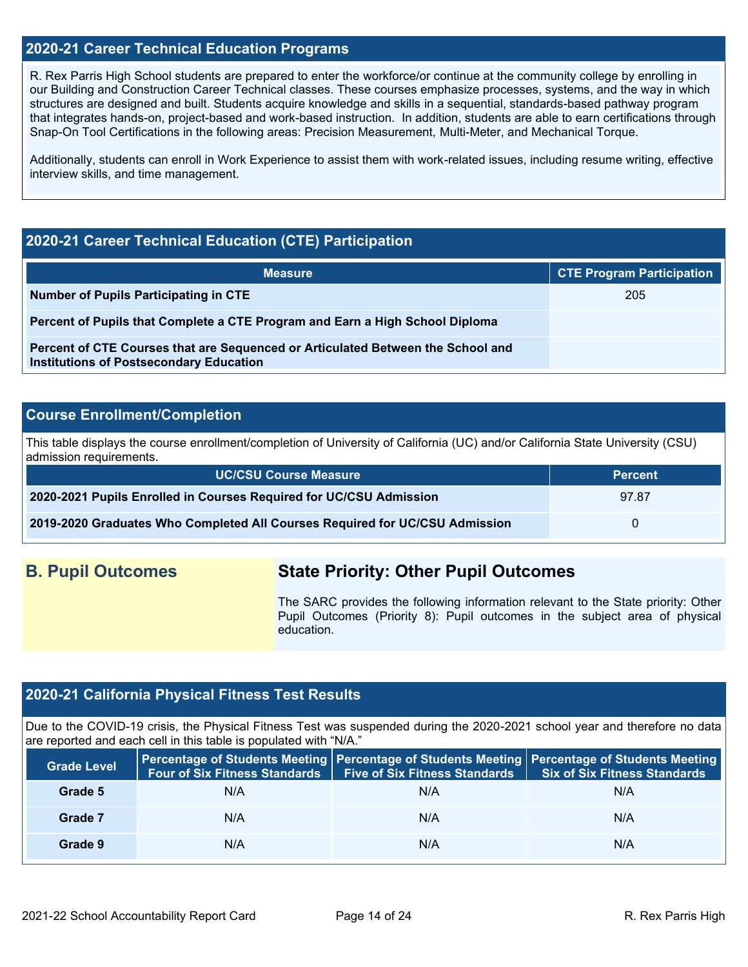### **2020-21 Career Technical Education Programs**

R. Rex Parris High School students are prepared to enter the workforce/or continue at the community college by enrolling in our Building and Construction Career Technical classes. These courses emphasize processes, systems, and the way in which structures are designed and built. Students acquire knowledge and skills in a sequential, standards-based pathway program that integrates hands-on, project-based and work-based instruction. In addition, students are able to earn certifications through Snap-On Tool Certifications in the following areas: Precision Measurement, Multi-Meter, and Mechanical Torque.

Additionally, students can enroll in Work Experience to assist them with work-related issues, including resume writing, effective interview skills, and time management.

## **2020-21 Career Technical Education (CTE) Participation**

| <b>Measure</b>                                                                                                                    | <b>CTE Program Participation</b> |
|-----------------------------------------------------------------------------------------------------------------------------------|----------------------------------|
| <b>Number of Pupils Participating in CTE</b>                                                                                      | 205                              |
| Percent of Pupils that Complete a CTE Program and Earn a High School Diploma                                                      |                                  |
| Percent of CTE Courses that are Sequenced or Articulated Between the School and<br><b>Institutions of Postsecondary Education</b> |                                  |

### **Course Enrollment/Completion**

This table displays the course enrollment/completion of University of California (UC) and/or California State University (CSU) admission requirements.

| UC/CSU Course Measure                                                       | <b>Percent</b> |
|-----------------------------------------------------------------------------|----------------|
| 2020-2021 Pupils Enrolled in Courses Required for UC/CSU Admission          | 97.87          |
| 2019-2020 Graduates Who Completed All Courses Required for UC/CSU Admission | $\Omega$       |

## **B. Pupil Outcomes State Priority: Other Pupil Outcomes**

The SARC provides the following information relevant to the State priority: Other Pupil Outcomes (Priority 8): Pupil outcomes in the subject area of physical education.

## **2020-21 California Physical Fitness Test Results**

Due to the COVID-19 crisis, the Physical Fitness Test was suspended during the 2020-2021 school year and therefore no data are reported and each cell in this table is populated with "N/A."

| <b>Grade Level</b> | <b>Four of Six Fitness Standards</b> | <b>Five of Six Fitness Standards</b> | Percentage of Students Meeting   Percentage of Students Meeting   Percentage of Students Meeting<br><b>Six of Six Fitness Standards</b> |  |
|--------------------|--------------------------------------|--------------------------------------|-----------------------------------------------------------------------------------------------------------------------------------------|--|
| Grade 5            | N/A                                  | N/A                                  | N/A                                                                                                                                     |  |
| Grade 7            | N/A                                  | N/A                                  | N/A                                                                                                                                     |  |
| Grade 9            | N/A                                  | N/A                                  | N/A                                                                                                                                     |  |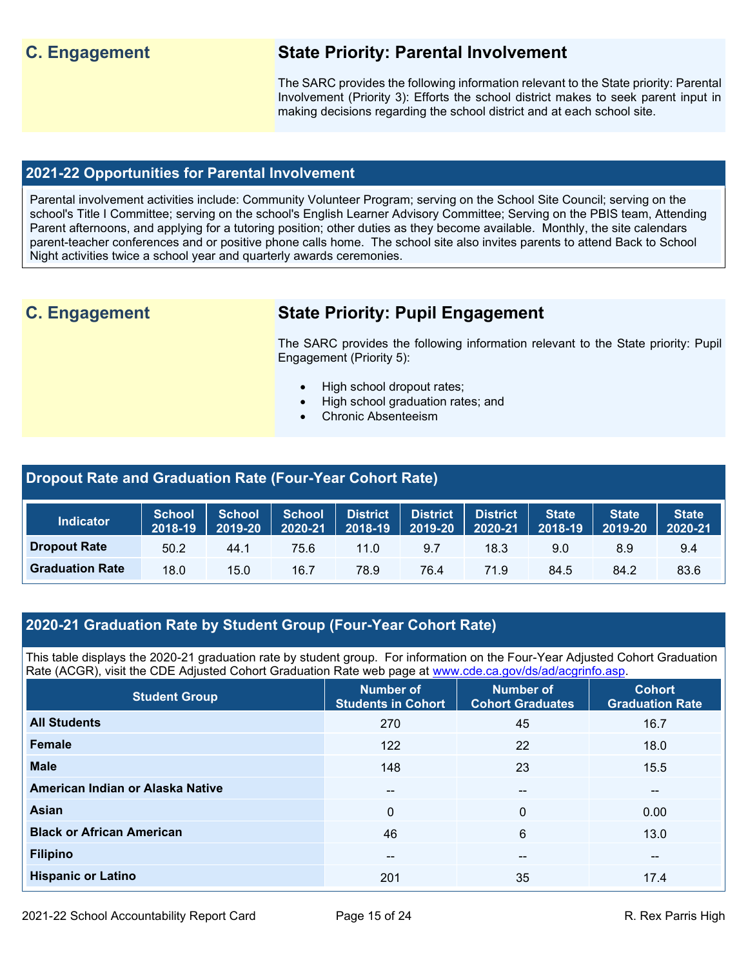## **C. Engagement State Priority: Parental Involvement**

The SARC provides the following information relevant to the State priority: Parental Involvement (Priority 3): Efforts the school district makes to seek parent input in making decisions regarding the school district and at each school site.

## **2021-22 Opportunities for Parental Involvement**

Parental involvement activities include: Community Volunteer Program; serving on the School Site Council; serving on the school's Title I Committee; serving on the school's English Learner Advisory Committee; Serving on the PBIS team, Attending Parent afternoons, and applying for a tutoring position; other duties as they become available. Monthly, the site calendars parent-teacher conferences and or positive phone calls home. The school site also invites parents to attend Back to School Night activities twice a school year and quarterly awards ceremonies.

## **C. Engagement State Priority: Pupil Engagement**

The SARC provides the following information relevant to the State priority: Pupil Engagement (Priority 5):

- High school dropout rates;
- High school graduation rates; and
- Chronic Absenteeism

#### **Dropout Rate and Graduation Rate (Four-Year Cohort Rate) Indicator School 2018-19 School 2019-20 School 2020-21 District 2018-19 District 2019-20 District 2020-21 State 2018-19 State 2019-20 State 2020-21 Dropout Rate** 50.2 44.1 75.6 11.0 9.7 18.3 9.0 8.9 9.4 **Graduation Rate** 18.0 15.0 16.7 78.9 76.4 71.9 84.5 84.2 83.6

## **2020-21 Graduation Rate by Student Group (Four-Year Cohort Rate)**

This table displays the 2020-21 graduation rate by student group. For information on the Four-Year Adjusted Cohort Graduation Rate (ACGR), visit the CDE Adjusted Cohort Graduation Rate web page at [www.cde.ca.gov/ds/ad/acgrinfo.asp.](http://www.cde.ca.gov/ds/ad/acgrinfo.asp)

| <b>Student Group</b>             | Number of<br><b>Students in Cohort</b> | Number of<br><b>Cohort Graduates</b> | <b>Cohort</b><br><b>Graduation Rate</b> |
|----------------------------------|----------------------------------------|--------------------------------------|-----------------------------------------|
| <b>All Students</b>              | 270                                    | 45                                   | 16.7                                    |
| <b>Female</b>                    | 122                                    | 22                                   | 18.0                                    |
| <b>Male</b>                      | 148                                    | 23                                   | 15.5                                    |
| American Indian or Alaska Native | $\overline{\phantom{a}}$               | --                                   | $\overline{\phantom{m}}$                |
| <b>Asian</b>                     | $\mathbf{0}$                           | $\Omega$                             | 0.00                                    |
| <b>Black or African American</b> | 46                                     | 6                                    | 13.0                                    |
| <b>Filipino</b>                  | $- -$                                  | --                                   | $\sim$ $\sim$                           |
| <b>Hispanic or Latino</b>        | 201                                    | 35                                   | 17.4                                    |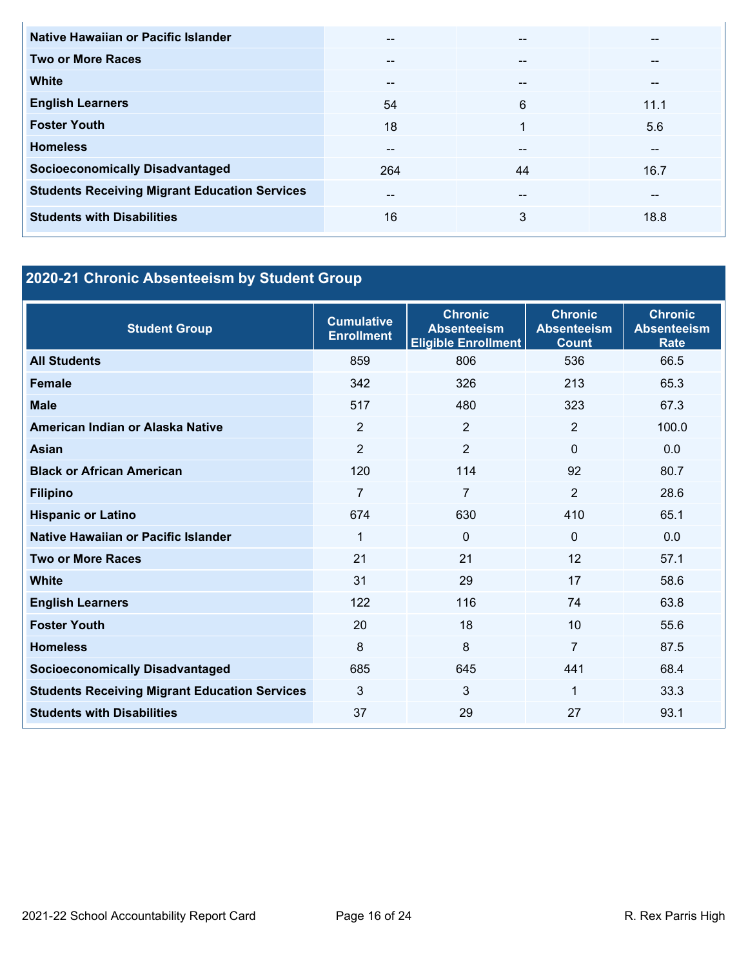| Native Hawaiian or Pacific Islander                  | --    | --    | --   |
|------------------------------------------------------|-------|-------|------|
| <b>Two or More Races</b>                             | $- -$ | --    | --   |
| <b>White</b>                                         | --    | --    | --   |
| <b>English Learners</b>                              | 54    | 6     | 11.1 |
| <b>Foster Youth</b>                                  | 18    | 1     | 5.6  |
| <b>Homeless</b>                                      | --    | --    | --   |
| <b>Socioeconomically Disadvantaged</b>               | 264   | 44    | 16.7 |
| <b>Students Receiving Migrant Education Services</b> | $- -$ | $- -$ | --   |
| <b>Students with Disabilities</b>                    | 16    | 3     | 18.8 |

# **2020-21 Chronic Absenteeism by Student Group**

| <b>Student Group</b>                                 | <b>Cumulative</b><br><b>Enrollment</b> | <b>Chronic</b><br><b>Absenteeism</b><br><b>Eligible Enrollment</b> | <b>Chronic</b><br><b>Absenteeism</b><br><b>Count</b> | <b>Chronic</b><br><b>Absenteeism</b><br><b>Rate</b> |
|------------------------------------------------------|----------------------------------------|--------------------------------------------------------------------|------------------------------------------------------|-----------------------------------------------------|
| <b>All Students</b>                                  | 859                                    | 806                                                                | 536                                                  | 66.5                                                |
| <b>Female</b>                                        | 342                                    | 326                                                                | 213                                                  | 65.3                                                |
| <b>Male</b>                                          | 517                                    | 480                                                                | 323                                                  | 67.3                                                |
| American Indian or Alaska Native                     | 2                                      | 2                                                                  | 2                                                    | 100.0                                               |
| <b>Asian</b>                                         | $\overline{2}$                         | $\overline{2}$                                                     | $\Omega$                                             | 0.0                                                 |
| <b>Black or African American</b>                     | 120                                    | 114                                                                | 92                                                   | 80.7                                                |
| <b>Filipino</b>                                      | $\overline{7}$                         | $\overline{7}$                                                     | $\overline{2}$                                       | 28.6                                                |
| <b>Hispanic or Latino</b>                            | 674                                    | 630                                                                | 410                                                  | 65.1                                                |
| Native Hawaiian or Pacific Islander                  | 1                                      | 0                                                                  | 0                                                    | 0.0                                                 |
| <b>Two or More Races</b>                             | 21                                     | 21                                                                 | 12                                                   | 57.1                                                |
| <b>White</b>                                         | 31                                     | 29                                                                 | 17                                                   | 58.6                                                |
| <b>English Learners</b>                              | 122                                    | 116                                                                | 74                                                   | 63.8                                                |
| <b>Foster Youth</b>                                  | 20                                     | 18                                                                 | 10                                                   | 55.6                                                |
| <b>Homeless</b>                                      | 8                                      | 8                                                                  | $\overline{7}$                                       | 87.5                                                |
| <b>Socioeconomically Disadvantaged</b>               | 685                                    | 645                                                                | 441                                                  | 68.4                                                |
| <b>Students Receiving Migrant Education Services</b> | 3                                      | 3                                                                  | 1                                                    | 33.3                                                |
| <b>Students with Disabilities</b>                    | 37                                     | 29                                                                 | 27                                                   | 93.1                                                |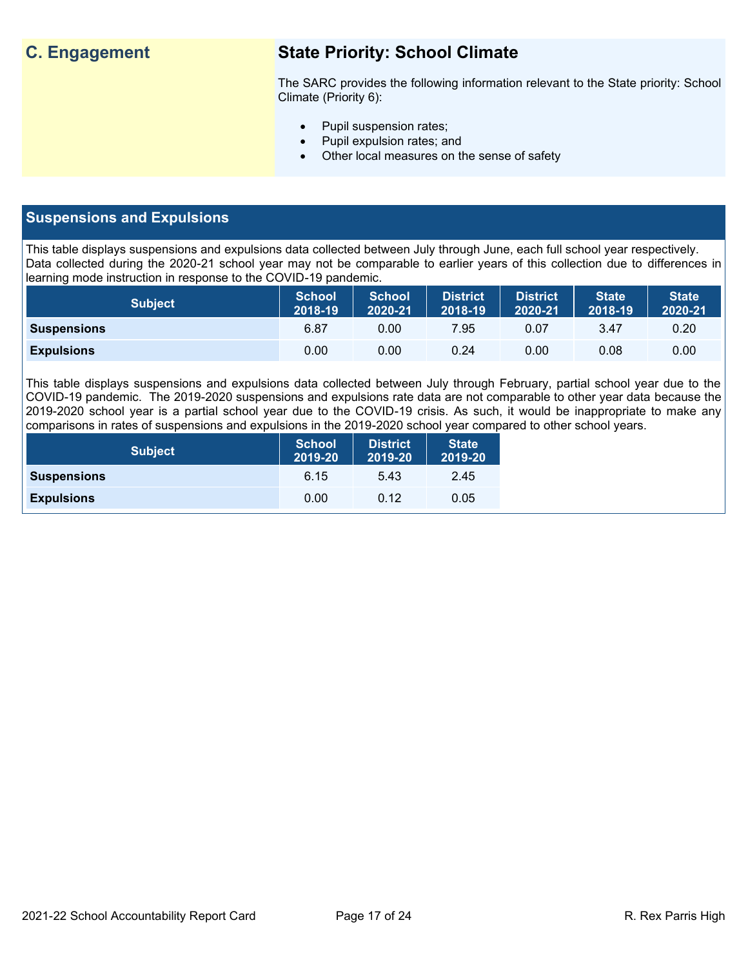## **C. Engagement State Priority: School Climate**

The SARC provides the following information relevant to the State priority: School Climate (Priority 6):

- Pupil suspension rates;
- Pupil expulsion rates; and
- Other local measures on the sense of safety

## **Suspensions and Expulsions**

This table displays suspensions and expulsions data collected between July through June, each full school year respectively. Data collected during the 2020-21 school year may not be comparable to earlier years of this collection due to differences in learning mode instruction in response to the COVID-19 pandemic.

| <b>Subject</b>     | <b>School</b><br>2018-19 | <b>School</b><br>2020-21 | District<br>2018-19 | <b>District</b><br>2020-21 | <b>State</b><br>2018-19 | <b>State</b><br>2020-21 |
|--------------------|--------------------------|--------------------------|---------------------|----------------------------|-------------------------|-------------------------|
| <b>Suspensions</b> | 6.87                     | 0.00                     | 7.95                | 0.07                       | 3.47                    | 0.20                    |
| <b>Expulsions</b>  | 0.00                     | 0.00                     | 0.24                | 0.00                       | 0.08                    | 0.00                    |

This table displays suspensions and expulsions data collected between July through February, partial school year due to the COVID-19 pandemic. The 2019-2020 suspensions and expulsions rate data are not comparable to other year data because the 2019-2020 school year is a partial school year due to the COVID-19 crisis. As such, it would be inappropriate to make any comparisons in rates of suspensions and expulsions in the 2019-2020 school year compared to other school years.

| <b>Subject</b>     | <b>School</b><br>2019-20 | <b>District</b><br>2019-20 | <b>State</b><br>2019-20 |
|--------------------|--------------------------|----------------------------|-------------------------|
| <b>Suspensions</b> | 6.15                     | 5.43                       | 2.45                    |
| <b>Expulsions</b>  | 0.00                     | 0.12                       | 0.05                    |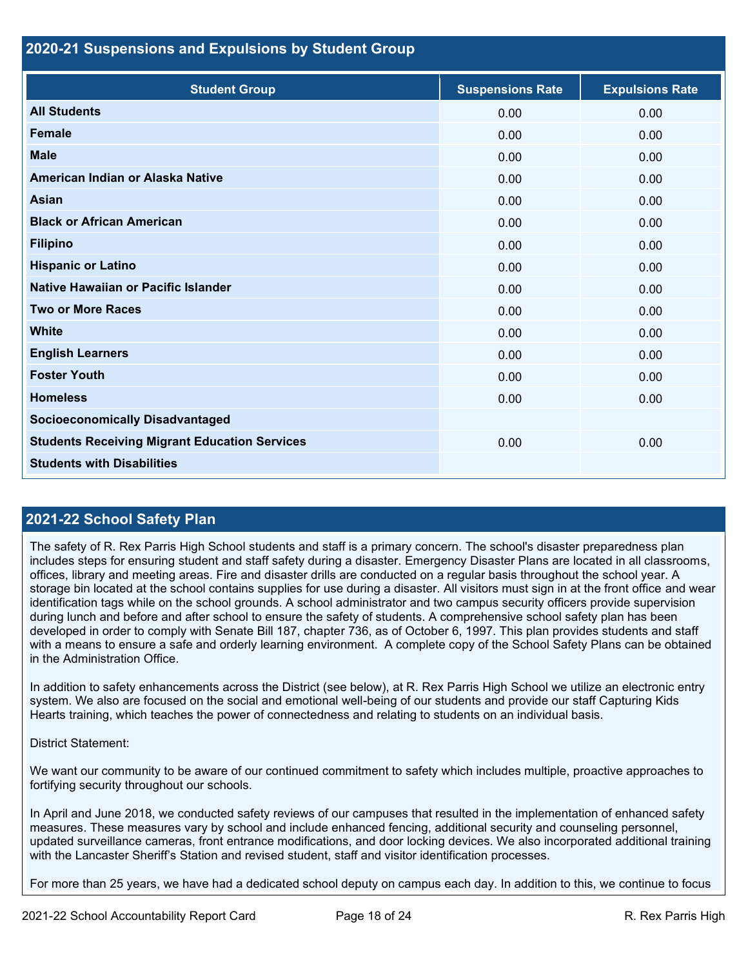#### **2020-21 Suspensions and Expulsions by Student Group**

| <b>Student Group</b>                                 | <b>Suspensions Rate</b> | <b>Expulsions Rate</b> |
|------------------------------------------------------|-------------------------|------------------------|
| <b>All Students</b>                                  | 0.00                    | 0.00                   |
| <b>Female</b>                                        | 0.00                    | 0.00                   |
| <b>Male</b>                                          | 0.00                    | 0.00                   |
| American Indian or Alaska Native                     | 0.00                    | 0.00                   |
| <b>Asian</b>                                         | 0.00                    | 0.00                   |
| <b>Black or African American</b>                     | 0.00                    | 0.00                   |
| <b>Filipino</b>                                      | 0.00                    | 0.00                   |
| <b>Hispanic or Latino</b>                            | 0.00                    | 0.00                   |
| Native Hawaiian or Pacific Islander                  | 0.00                    | 0.00                   |
| <b>Two or More Races</b>                             | 0.00                    | 0.00                   |
| <b>White</b>                                         | 0.00                    | 0.00                   |
| <b>English Learners</b>                              | 0.00                    | 0.00                   |
| <b>Foster Youth</b>                                  | 0.00                    | 0.00                   |
| <b>Homeless</b>                                      | 0.00                    | 0.00                   |
| <b>Socioeconomically Disadvantaged</b>               |                         |                        |
| <b>Students Receiving Migrant Education Services</b> | 0.00                    | 0.00                   |
| <b>Students with Disabilities</b>                    |                         |                        |

## **2021-22 School Safety Plan**

The safety of R. Rex Parris High School students and staff is a primary concern. The school's disaster preparedness plan includes steps for ensuring student and staff safety during a disaster. Emergency Disaster Plans are located in all classrooms, offices, library and meeting areas. Fire and disaster drills are conducted on a regular basis throughout the school year. A storage bin located at the school contains supplies for use during a disaster. All visitors must sign in at the front office and wear identification tags while on the school grounds. A school administrator and two campus security officers provide supervision during lunch and before and after school to ensure the safety of students. A comprehensive school safety plan has been developed in order to comply with Senate Bill 187, chapter 736, as of October 6, 1997. This plan provides students and staff with a means to ensure a safe and orderly learning environment. A complete copy of the School Safety Plans can be obtained in the Administration Office.

In addition to safety enhancements across the District (see below), at R. Rex Parris High School we utilize an electronic entry system. We also are focused on the social and emotional well-being of our students and provide our staff Capturing Kids Hearts training, which teaches the power of connectedness and relating to students on an individual basis.

District Statement:

We want our community to be aware of our continued commitment to safety which includes multiple, proactive approaches to fortifying security throughout our schools.

In April and June 2018, we conducted safety reviews of our campuses that resulted in the implementation of enhanced safety measures. These measures vary by school and include enhanced fencing, additional security and counseling personnel, updated surveillance cameras, front entrance modifications, and door locking devices. We also incorporated additional training with the Lancaster Sheriff's Station and revised student, staff and visitor identification processes.

For more than 25 years, we have had a dedicated school deputy on campus each day. In addition to this, we continue to focus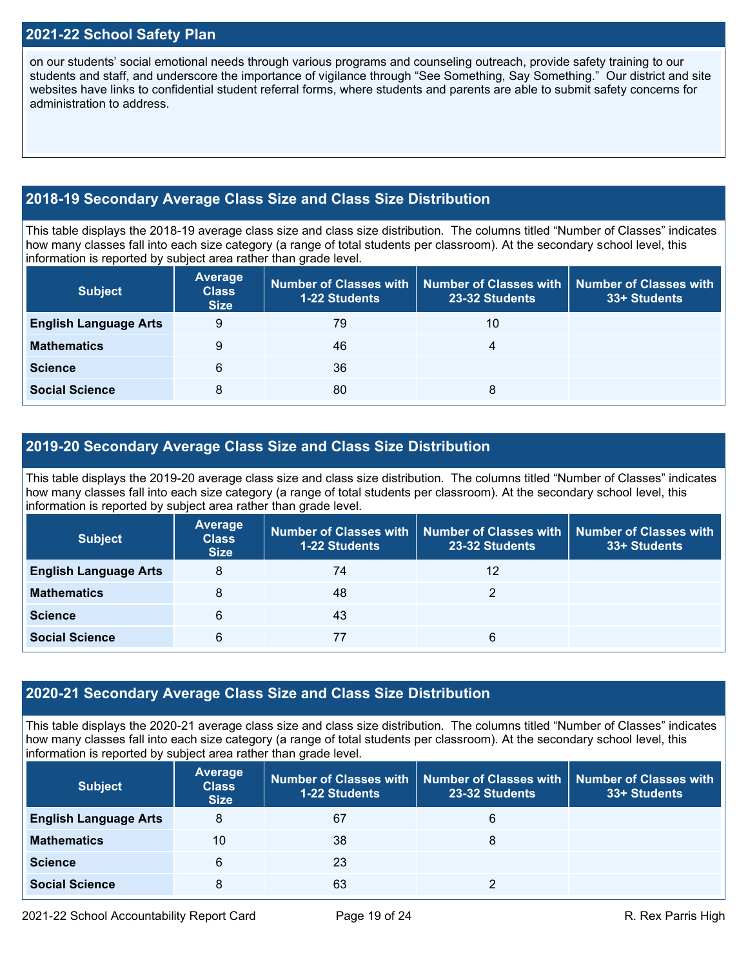## **2021-22 School Safety Plan**

on our students' social emotional needs through various programs and counseling outreach, provide safety training to our students and staff, and underscore the importance of vigilance through "See Something, Say Something." Our district and site websites have links to confidential student referral forms, where students and parents are able to submit safety concerns for administration to address.

## **2018-19 Secondary Average Class Size and Class Size Distribution**

This table displays the 2018-19 average class size and class size distribution. The columns titled "Number of Classes" indicates how many classes fall into each size category (a range of total students per classroom). At the secondary school level, this information is reported by subject area rather than grade level.

| <b>Subject</b>               | <b>Average</b><br><b>Class</b><br><b>Size</b> | Number of Classes with<br><b>1-22 Students</b> | 23-32 Students | Number of Classes with   Number of Classes with<br>33+ Students |
|------------------------------|-----------------------------------------------|------------------------------------------------|----------------|-----------------------------------------------------------------|
| <b>English Language Arts</b> | 9                                             | 79                                             | 10             |                                                                 |
| <b>Mathematics</b>           | 9                                             | 46                                             | 4              |                                                                 |
| <b>Science</b>               | 6                                             | 36                                             |                |                                                                 |
| <b>Social Science</b>        | 8                                             | 80                                             | 8              |                                                                 |

### **2019-20 Secondary Average Class Size and Class Size Distribution**

This table displays the 2019-20 average class size and class size distribution. The columns titled "Number of Classes" indicates how many classes fall into each size category (a range of total students per classroom). At the secondary school level, this information is reported by subject area rather than grade level.

| <b>Subject</b>               | <b>Average</b><br><b>Class</b><br><b>Size</b> | <b>1-22 Students</b> | Number of Classes with   Number of Classes with<br>23-32 Students | <b>Number of Classes with</b><br>33+ Students |
|------------------------------|-----------------------------------------------|----------------------|-------------------------------------------------------------------|-----------------------------------------------|
| <b>English Language Arts</b> | 8                                             | 74                   | 12                                                                |                                               |
| <b>Mathematics</b>           | 8                                             | 48                   |                                                                   |                                               |
| <b>Science</b>               | 6                                             | 43                   |                                                                   |                                               |
| <b>Social Science</b>        | 6                                             |                      | 6                                                                 |                                               |

#### **2020-21 Secondary Average Class Size and Class Size Distribution**

This table displays the 2020-21 average class size and class size distribution. The columns titled "Number of Classes" indicates how many classes fall into each size category (a range of total students per classroom). At the secondary school level, this information is reported by subject area rather than grade level.

| <b>Subject</b>               | <b>Average</b><br><b>Class</b><br><b>Size</b> | <b>1-22 Students</b> | Number of Classes with   Number of Classes with<br>23-32 Students | Number of Classes with<br>33+ Students |
|------------------------------|-----------------------------------------------|----------------------|-------------------------------------------------------------------|----------------------------------------|
| <b>English Language Arts</b> | 8                                             | 67                   | 6                                                                 |                                        |
| <b>Mathematics</b>           | 10                                            | 38                   | 8                                                                 |                                        |
| <b>Science</b>               | 6                                             | 23                   |                                                                   |                                        |
| <b>Social Science</b>        | 8                                             | 63                   |                                                                   |                                        |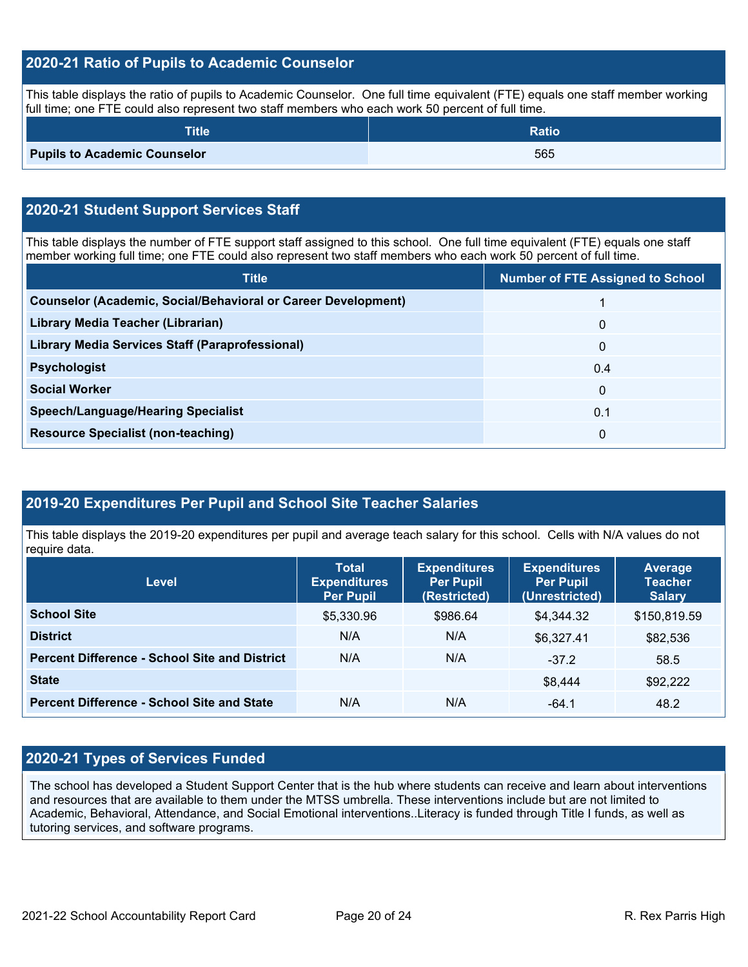## **2020-21 Ratio of Pupils to Academic Counselor**

This table displays the ratio of pupils to Academic Counselor. One full time equivalent (FTE) equals one staff member working full time; one FTE could also represent two staff members who each work 50 percent of full time.

| <b>Title</b>                        | <b>Ratio</b> |
|-------------------------------------|--------------|
| <b>Pupils to Academic Counselor</b> | 565          |

## **2020-21 Student Support Services Staff**

This table displays the number of FTE support staff assigned to this school. One full time equivalent (FTE) equals one staff member working full time; one FTE could also represent two staff members who each work 50 percent of full time.

| <b>Title</b>                                                         | <b>Number of FTE Assigned to School</b> |
|----------------------------------------------------------------------|-----------------------------------------|
| <b>Counselor (Academic, Social/Behavioral or Career Development)</b> |                                         |
| Library Media Teacher (Librarian)                                    | $\mathbf{0}$                            |
| Library Media Services Staff (Paraprofessional)                      | 0                                       |
| <b>Psychologist</b>                                                  | 0.4                                     |
| <b>Social Worker</b>                                                 | $\Omega$                                |
| <b>Speech/Language/Hearing Specialist</b>                            | 0.1                                     |
| <b>Resource Specialist (non-teaching)</b>                            | 0                                       |

## **2019-20 Expenditures Per Pupil and School Site Teacher Salaries**

This table displays the 2019-20 expenditures per pupil and average teach salary for this school. Cells with N/A values do not require data.

| <b>Level</b>                                         | <b>Total</b><br><b>Expenditures</b><br><b>Per Pupil</b> | <b>Expenditures</b><br><b>Per Pupil</b><br>(Restricted) | <b>Expenditures</b><br><b>Per Pupil</b><br>(Unrestricted) | <b>Average</b><br><b>Teacher</b><br><b>Salary</b> |
|------------------------------------------------------|---------------------------------------------------------|---------------------------------------------------------|-----------------------------------------------------------|---------------------------------------------------|
| <b>School Site</b>                                   | \$5,330.96                                              | \$986.64                                                | \$4,344.32                                                | \$150,819.59                                      |
| <b>District</b>                                      | N/A                                                     | N/A                                                     | \$6,327.41                                                | \$82,536                                          |
| <b>Percent Difference - School Site and District</b> | N/A                                                     | N/A                                                     | $-37.2$                                                   | 58.5                                              |
| <b>State</b>                                         |                                                         |                                                         | \$8,444                                                   | \$92,222                                          |
| <b>Percent Difference - School Site and State</b>    | N/A                                                     | N/A                                                     | $-64.1$                                                   | 48.2                                              |

## **2020-21 Types of Services Funded**

The school has developed a Student Support Center that is the hub where students can receive and learn about interventions and resources that are available to them under the MTSS umbrella. These interventions include but are not limited to Academic, Behavioral, Attendance, and Social Emotional interventions..Literacy is funded through Title I funds, as well as tutoring services, and software programs.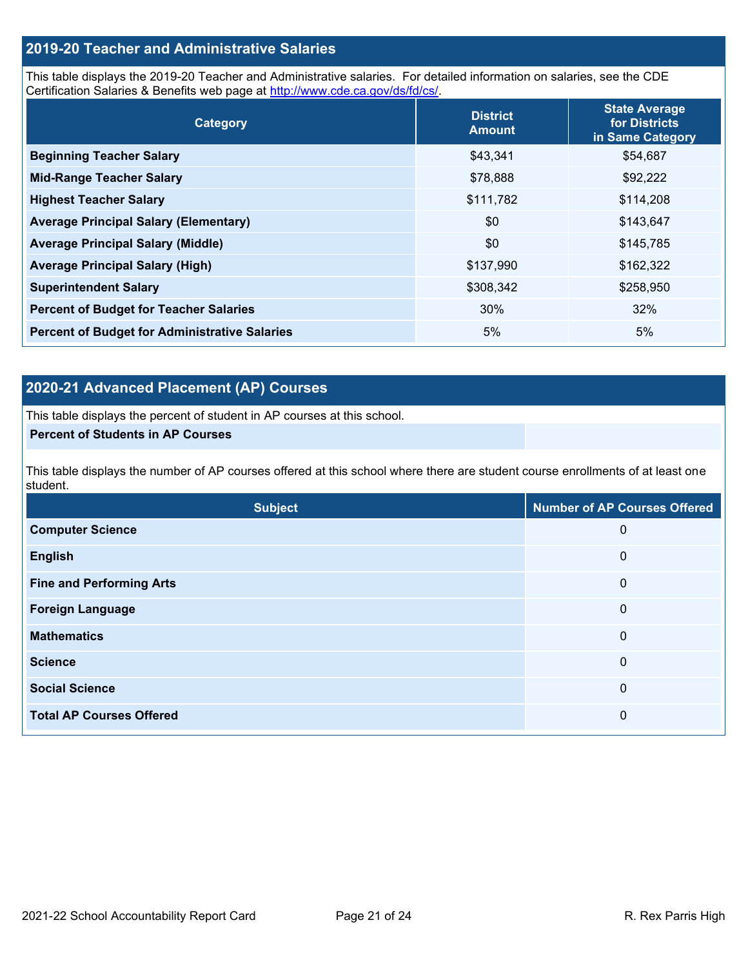## **2019-20 Teacher and Administrative Salaries**

This table displays the 2019-20 Teacher and Administrative salaries. For detailed information on salaries, see the CDE Certification Salaries & Benefits web page at [http://www.cde.ca.gov/ds/fd/cs/.](http://www.cde.ca.gov/ds/fd/cs/)

| Category                                             | <b>District</b><br><b>Amount</b> | <b>State Average</b><br>for Districts<br>in Same Category |
|------------------------------------------------------|----------------------------------|-----------------------------------------------------------|
| <b>Beginning Teacher Salary</b>                      | \$43,341                         | \$54,687                                                  |
| <b>Mid-Range Teacher Salary</b>                      | \$78,888                         | \$92,222                                                  |
| <b>Highest Teacher Salary</b>                        | \$111,782                        | \$114,208                                                 |
| <b>Average Principal Salary (Elementary)</b>         | \$0                              | \$143,647                                                 |
| <b>Average Principal Salary (Middle)</b>             | \$0                              | \$145,785                                                 |
| <b>Average Principal Salary (High)</b>               | \$137,990                        | \$162,322                                                 |
| <b>Superintendent Salary</b>                         | \$308,342                        | \$258,950                                                 |
| <b>Percent of Budget for Teacher Salaries</b>        | 30%                              | 32%                                                       |
| <b>Percent of Budget for Administrative Salaries</b> | 5%                               | 5%                                                        |

## **2020-21 Advanced Placement (AP) Courses**

This table displays the percent of student in AP courses at this school.

#### **Percent of Students in AP Courses**

This table displays the number of AP courses offered at this school where there are student course enrollments of at least one student.

| <b>Subject</b>                  | <b>Number of AP Courses Offered</b> |
|---------------------------------|-------------------------------------|
| <b>Computer Science</b>         | 0                                   |
| <b>English</b>                  | $\mathbf 0$                         |
| <b>Fine and Performing Arts</b> | 0                                   |
| <b>Foreign Language</b>         | $\mathbf 0$                         |
| <b>Mathematics</b>              | $\overline{0}$                      |
| <b>Science</b>                  | $\boldsymbol{0}$                    |
| <b>Social Science</b>           | 0                                   |
| <b>Total AP Courses Offered</b> | 0                                   |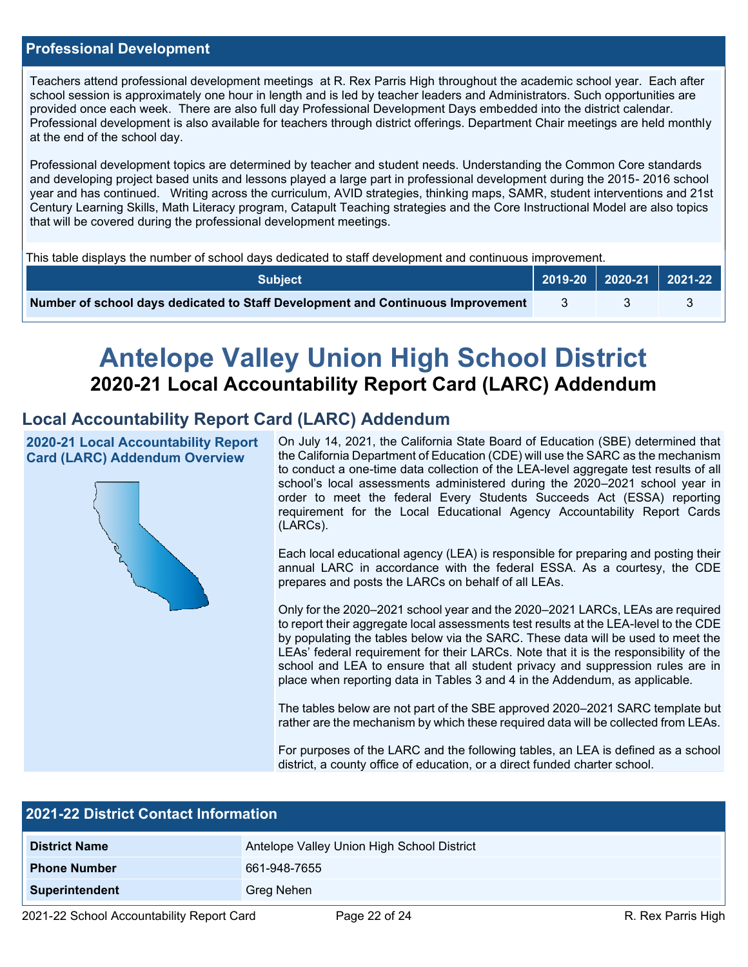### **Professional Development**

Teachers attend professional development meetings at R. Rex Parris High throughout the academic school year. Each after school session is approximately one hour in length and is led by teacher leaders and Administrators. Such opportunities are provided once each week. There are also full day Professional Development Days embedded into the district calendar. Professional development is also available for teachers through district offerings. Department Chair meetings are held monthly at the end of the school day.

Professional development topics are determined by teacher and student needs. Understanding the Common Core standards and developing project based units and lessons played a large part in professional development during the 2015- 2016 school year and has continued. Writing across the curriculum, AVID strategies, thinking maps, SAMR, student interventions and 21st Century Learning Skills, Math Literacy program, Catapult Teaching strategies and the Core Instructional Model are also topics that will be covered during the professional development meetings.

This table displays the number of school days dedicated to staff development and continuous improvement.

| <b>Subject</b>                                                                  |  | $\vert$ 2019-20 $\vert$ 2020-21 $\vert$ 2021-22 $\vert$ |  |
|---------------------------------------------------------------------------------|--|---------------------------------------------------------|--|
| Number of school days dedicated to Staff Development and Continuous Improvement |  |                                                         |  |

# **Antelope Valley Union High School District 2020-21 Local Accountability Report Card (LARC) Addendum**

## **Local Accountability Report Card (LARC) Addendum**

**2020-21 Local Accountability Report Card (LARC) Addendum Overview**



On July 14, 2021, the California State Board of Education (SBE) determined that the California Department of Education (CDE) will use the SARC as the mechanism to conduct a one-time data collection of the LEA-level aggregate test results of all school's local assessments administered during the 2020–2021 school year in order to meet the federal Every Students Succeeds Act (ESSA) reporting requirement for the Local Educational Agency Accountability Report Cards (LARCs).

Each local educational agency (LEA) is responsible for preparing and posting their annual LARC in accordance with the federal ESSA. As a courtesy, the CDE prepares and posts the LARCs on behalf of all LEAs.

Only for the 2020–2021 school year and the 2020–2021 LARCs, LEAs are required to report their aggregate local assessments test results at the LEA-level to the CDE by populating the tables below via the SARC. These data will be used to meet the LEAs' federal requirement for their LARCs. Note that it is the responsibility of the school and LEA to ensure that all student privacy and suppression rules are in place when reporting data in Tables 3 and 4 in the Addendum, as applicable.

The tables below are not part of the SBE approved 2020–2021 SARC template but rather are the mechanism by which these required data will be collected from LEAs.

For purposes of the LARC and the following tables, an LEA is defined as a school district, a county office of education, or a direct funded charter school.

| <b>2021-22 District Contact Information</b> |                                            |  |  |  |  |
|---------------------------------------------|--------------------------------------------|--|--|--|--|
| <b>District Name</b>                        | Antelope Valley Union High School District |  |  |  |  |
| <b>Phone Number</b>                         | 661-948-7655                               |  |  |  |  |
| <b>Superintendent</b>                       | Greg Nehen                                 |  |  |  |  |
|                                             | .                                          |  |  |  |  |

2021-22 School Accountability Report Card Page 22 of 24 R. Rex Parris High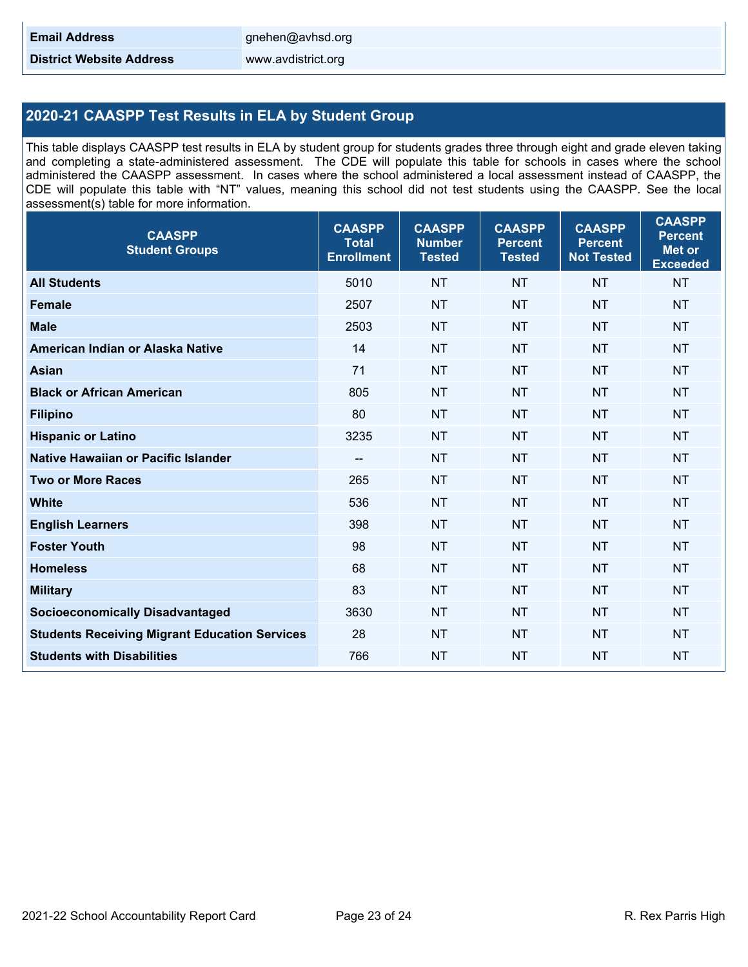**District Website Address** www.avdistrict.org

## **2020-21 CAASPP Test Results in ELA by Student Group**

This table displays CAASPP test results in ELA by student group for students grades three through eight and grade eleven taking and completing a state-administered assessment. The CDE will populate this table for schools in cases where the school administered the CAASPP assessment. In cases where the school administered a local assessment instead of CAASPP, the CDE will populate this table with "NT" values, meaning this school did not test students using the CAASPP. See the local assessment(s) table for more information.

| <b>CAASPP</b><br><b>Student Groups</b>               | <b>CAASPP</b><br><b>Total</b><br><b>Enrollment</b> | <b>CAASPP</b><br><b>Number</b><br><b>Tested</b> | <b>CAASPP</b><br><b>Percent</b><br><b>Tested</b> | <b>CAASPP</b><br><b>Percent</b><br><b>Not Tested</b> | <b>CAASPP</b><br><b>Percent</b><br><b>Met or</b><br><b>Exceeded</b> |
|------------------------------------------------------|----------------------------------------------------|-------------------------------------------------|--------------------------------------------------|------------------------------------------------------|---------------------------------------------------------------------|
| <b>All Students</b>                                  | 5010                                               | <b>NT</b>                                       | <b>NT</b>                                        | <b>NT</b>                                            | <b>NT</b>                                                           |
| <b>Female</b>                                        | 2507                                               | <b>NT</b>                                       | <b>NT</b>                                        | <b>NT</b>                                            | <b>NT</b>                                                           |
| <b>Male</b>                                          | 2503                                               | <b>NT</b>                                       | <b>NT</b>                                        | <b>NT</b>                                            | <b>NT</b>                                                           |
| American Indian or Alaska Native                     | 14                                                 | <b>NT</b>                                       | <b>NT</b>                                        | <b>NT</b>                                            | <b>NT</b>                                                           |
| <b>Asian</b>                                         | 71                                                 | NT                                              | <b>NT</b>                                        | <b>NT</b>                                            | NT                                                                  |
| <b>Black or African American</b>                     | 805                                                | <b>NT</b>                                       | <b>NT</b>                                        | <b>NT</b>                                            | <b>NT</b>                                                           |
| <b>Filipino</b>                                      | 80                                                 | <b>NT</b>                                       | <b>NT</b>                                        | <b>NT</b>                                            | <b>NT</b>                                                           |
| <b>Hispanic or Latino</b>                            | 3235                                               | <b>NT</b>                                       | <b>NT</b>                                        | <b>NT</b>                                            | <b>NT</b>                                                           |
| <b>Native Hawaiian or Pacific Islander</b>           | --                                                 | <b>NT</b>                                       | <b>NT</b>                                        | <b>NT</b>                                            | <b>NT</b>                                                           |
| <b>Two or More Races</b>                             | 265                                                | <b>NT</b>                                       | <b>NT</b>                                        | <b>NT</b>                                            | <b>NT</b>                                                           |
| <b>White</b>                                         | 536                                                | <b>NT</b>                                       | <b>NT</b>                                        | <b>NT</b>                                            | <b>NT</b>                                                           |
| <b>English Learners</b>                              | 398                                                | <b>NT</b>                                       | <b>NT</b>                                        | <b>NT</b>                                            | <b>NT</b>                                                           |
| <b>Foster Youth</b>                                  | 98                                                 | <b>NT</b>                                       | <b>NT</b>                                        | <b>NT</b>                                            | <b>NT</b>                                                           |
| <b>Homeless</b>                                      | 68                                                 | <b>NT</b>                                       | <b>NT</b>                                        | <b>NT</b>                                            | <b>NT</b>                                                           |
| <b>Military</b>                                      | 83                                                 | <b>NT</b>                                       | <b>NT</b>                                        | <b>NT</b>                                            | <b>NT</b>                                                           |
| <b>Socioeconomically Disadvantaged</b>               | 3630                                               | <b>NT</b>                                       | <b>NT</b>                                        | <b>NT</b>                                            | <b>NT</b>                                                           |
| <b>Students Receiving Migrant Education Services</b> | 28                                                 | <b>NT</b>                                       | <b>NT</b>                                        | <b>NT</b>                                            | NT                                                                  |
| <b>Students with Disabilities</b>                    | 766                                                | <b>NT</b>                                       | <b>NT</b>                                        | <b>NT</b>                                            | <b>NT</b>                                                           |